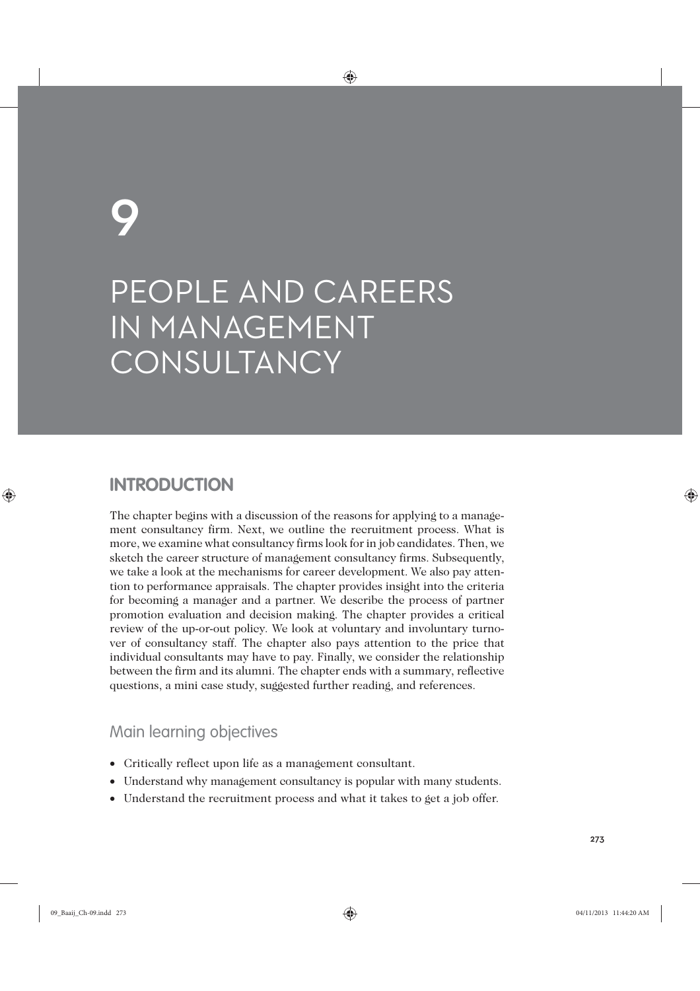# 9

# PEOPLE AND CAREERS IN MANAGEMENT **CONSULTANCY**

# **INTRODUCTION**

The chapter begins with a discussion of the reasons for applying to a management consultancy firm. Next, we outline the recruitment process. What is more, we examine what consultancy firms look for in job candidates. Then, we sketch the career structure of management consultancy firms. Subsequently, we take a look at the mechanisms for career development. We also pay attention to performance appraisals. The chapter provides insight into the criteria for becoming a manager and a partner. We describe the process of partner promotion evaluation and decision making. The chapter provides a critical review of the up-or-out policy. We look at voluntary and involuntary turnover of consultancy staff. The chapter also pays attention to the price that individual consultants may have to pay. Finally, we consider the relationship between the firm and its alumni. The chapter ends with a summary, reflective questions, a mini case study, suggested further reading, and references.

# Main learning objectives

- x Critically reflect upon life as a management consultant.
- Understand why management consultancy is popular with many students.
- Understand the recruitment process and what it takes to get a job offer.

♠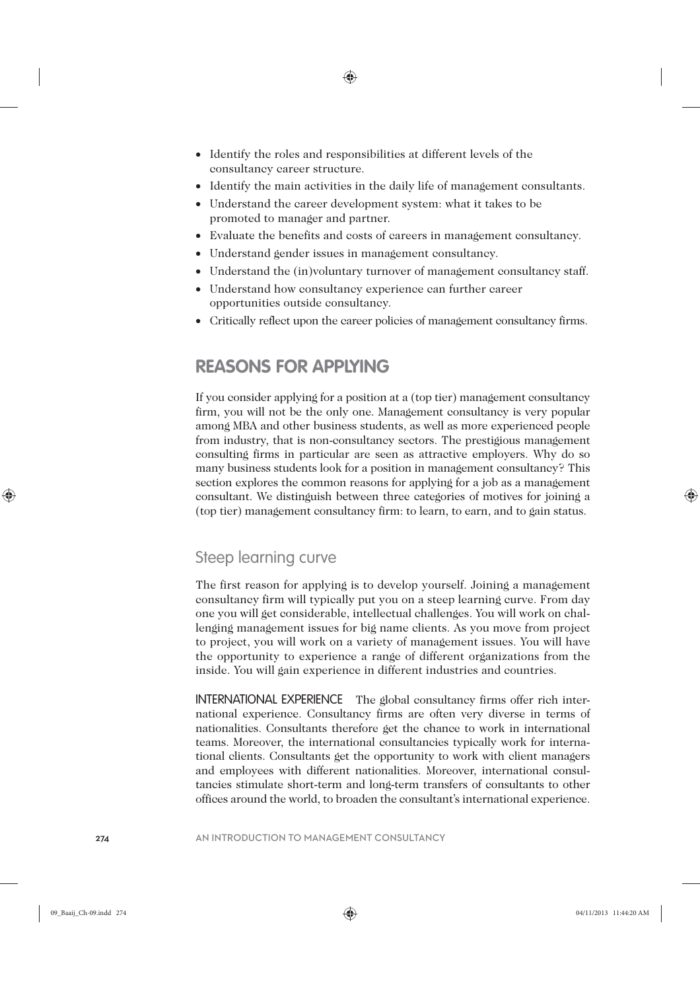• Identify the roles and responsibilities at different levels of the consultancy career structure.

◈

- Identify the main activities in the daily life of management consultants.
- Understand the career development system: what it takes to be promoted to manager and partner.
- Evaluate the benefits and costs of careers in management consultancy.
- Understand gender issues in management consultancy.
- Understand the (in)voluntary turnover of management consultancy staff.
- Understand how consultancy experience can further career opportunities outside consultancy.
- Critically reflect upon the career policies of management consultancy firms.

# **REASONS FOR APPLYING**

If you consider applying for a position at a (top tier) management consultancy firm, you will not be the only one. Management consultancy is very popular among MBA and other business students, as well as more experienced people from industry, that is non-consultancy sectors. The prestigious management consulting firms in particular are seen as attractive employers. Why do so many business students look for a position in management consultancy? This section explores the common reasons for applying for a job as a management consultant. We distinguish between three categories of motives for joining a (top tier) management consultancy firm: to learn, to earn, and to gain status.

# Steep learning curve

The first reason for applying is to develop yourself. Joining a management consultancy firm will typically put you on a steep learning curve. From day one you will get considerable, intellectual challenges. You will work on challenging management issues for big name clients. As you move from project to project, you will work on a variety of management issues. You will have the opportunity to experience a range of different organizations from the inside. You will gain experience in different industries and countries.

INTERNATIONAL EXPERIENCE The global consultancy firms offer rich international experience. Consultancy firms are often very diverse in terms of nationalities. Consultants therefore get the chance to work in international teams. Moreover, the international consultancies typically work for international clients. Consultants get the opportunity to work with client managers and employees with different nationalities. Moreover, international consultancies stimulate short-term and long-term transfers of consultants to other offices around the world, to broaden the consultant's international experience.

274 AN INTRODUCTION TO MANAGEMENT CONSULTANCY

♠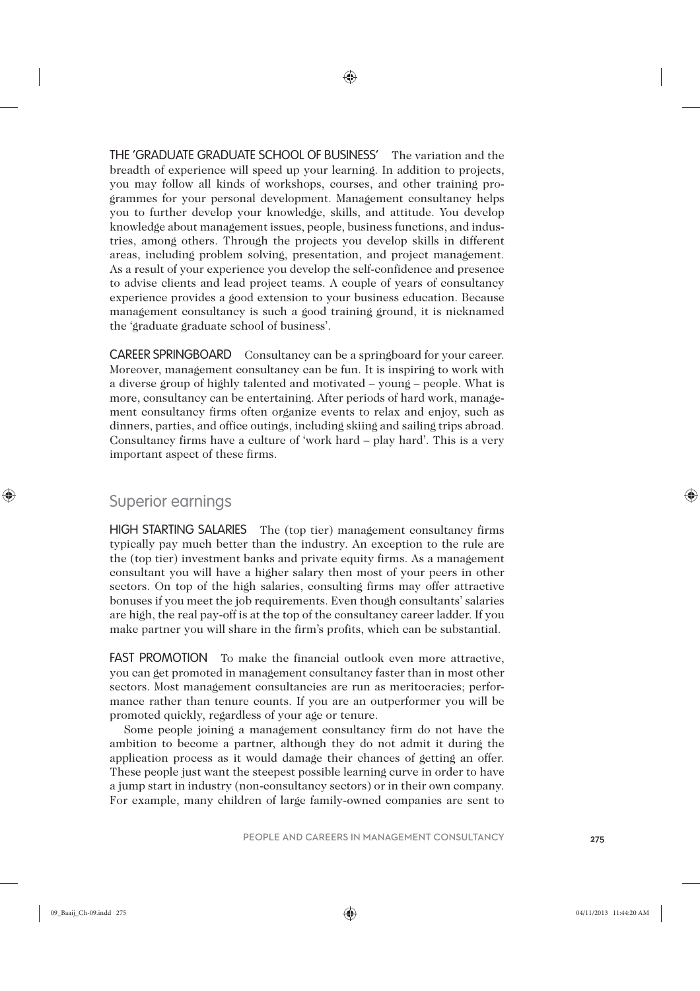THE 'GRADUATE GRADUATE SCHOOL OF BUSINESS' The variation and the breadth of experience will speed up your learning. In addition to projects, you may follow all kinds of workshops, courses, and other training programmes for your personal development. Management consultancy helps you to further develop your knowledge, skills, and attitude. You develop knowledge about management issues, people, business functions, and industries, among others. Through the projects you develop skills in different areas, including problem solving, presentation, and project management. As a result of your experience you develop the self-confidence and presence to advise clients and lead project teams. A couple of years of consultancy experience provides a good extension to your business education. Because management consultancy is such a good training ground, it is nicknamed the 'graduate graduate school of business'.

◈

CAREER SPRINGBOARD Consultancy can be a springboard for your career. Moreover, management consultancy can be fun. It is inspiring to work with a diverse group of highly talented and motivated – young – people. What is more, consultancy can be entertaining. After periods of hard work, management consultancy firms often organize events to relax and enjoy, such as dinners, parties, and office outings, including skiing and sailing trips abroad. Consultancy firms have a culture of 'work hard – play hard'. This is a very important aspect of these firms.

# Superior earnings

HIGH STARTING SALARIES The (top tier) management consultancy firms typically pay much better than the industry. An exception to the rule are the (top tier) investment banks and private equity firms. As a management consultant you will have a higher salary then most of your peers in other sectors. On top of the high salaries, consulting firms may offer attractive bonuses if you meet the job requirements. Even though consultants' salaries are high, the real pay-off is at the top of the consultancy career ladder. If you make partner you will share in the firm's profits, which can be substantial.

FAST PROMOTION To make the financial outlook even more attractive, you can get promoted in management consultancy faster than in most other sectors. Most management consultancies are run as meritocracies; performance rather than tenure counts. If you are an outperformer you will be promoted quickly, regardless of your age or tenure.

Some people joining a management consultancy firm do not have the ambition to become a partner, although they do not admit it during the application process as it would damage their chances of getting an offer. These people just want the steepest possible learning curve in order to have a jump start in industry (non-consultancy sectors) or in their own company. For example, many children of large family-owned companies are sent to ♠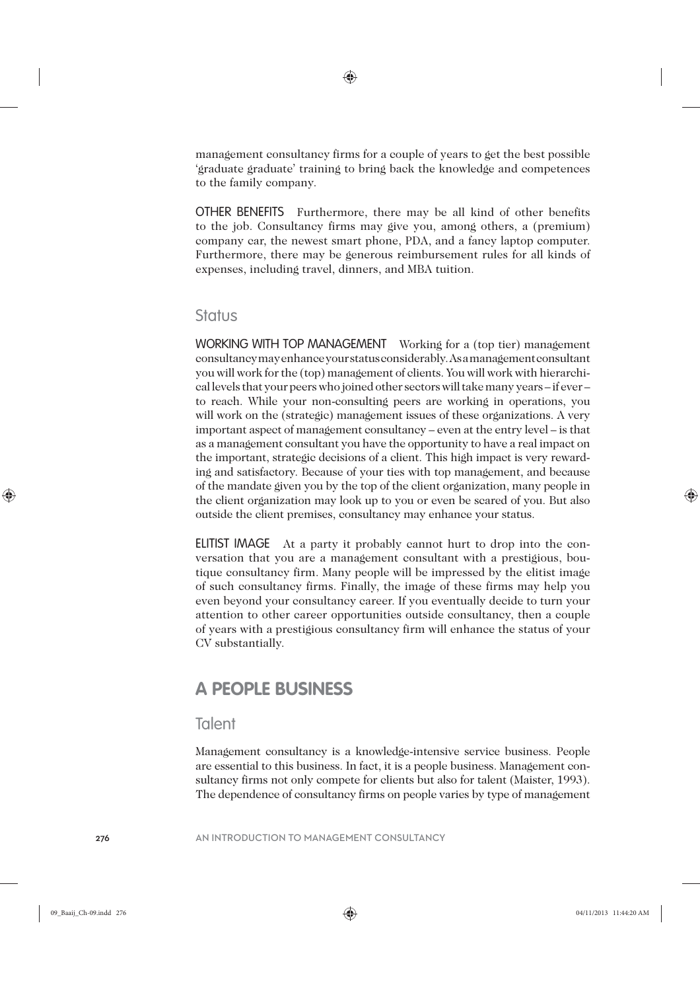management consultancy firms for a couple of years to get the best possible 'graduate graduate' training to bring back the knowledge and competences to the family company.

◈

OTHER BENEFITS Furthermore, there may be all kind of other benefits to the job. Consultancy firms may give you, among others, a (premium) company car, the newest smart phone, PDA, and a fancy laptop computer. Furthermore, there may be generous reimbursement rules for all kinds of expenses, including travel, dinners, and MBA tuition.

#### **Status**

WORKING WITH TOP MANAGEMENT Working for a (top tier) management consultancy may enhance your status considerably. As a management consultant you will work for the (top) management of clients. You will work with hierarchical levels that your peers who joined other sectors will take many years – if ever – to reach. While your non-consulting peers are working in operations, you will work on the (strategic) management issues of these organizations. A very important aspect of management consultancy – even at the entry level – is that as a management consultant you have the opportunity to have a real impact on the important, strategic decisions of a client. This high impact is very rewarding and satisfactory. Because of your ties with top management, and because of the mandate given you by the top of the client organization, many people in the client organization may look up to you or even be scared of you. But also outside the client premises, consultancy may enhance your status.

ELITIST IMAGE At a party it probably cannot hurt to drop into the conversation that you are a management consultant with a prestigious, boutique consultancy firm. Many people will be impressed by the elitist image of such consultancy firms. Finally, the image of these firms may help you even beyond your consultancy career. If you eventually decide to turn your attention to other career opportunities outside consultancy, then a couple of years with a prestigious consultancy firm will enhance the status of your CV substantially.

# **A PEOPLE BUSINESS**

#### **Talent**

Management consultancy is a knowledge-intensive service business. People are essential to this business. In fact, it is a people business. Management consultancy firms not only compete for clients but also for talent (Maister, 1993). The dependence of consultancy firms on people varies by type of management

♠

276 AN INTRODUCTION TO MANAGEMENT CONSULTANCY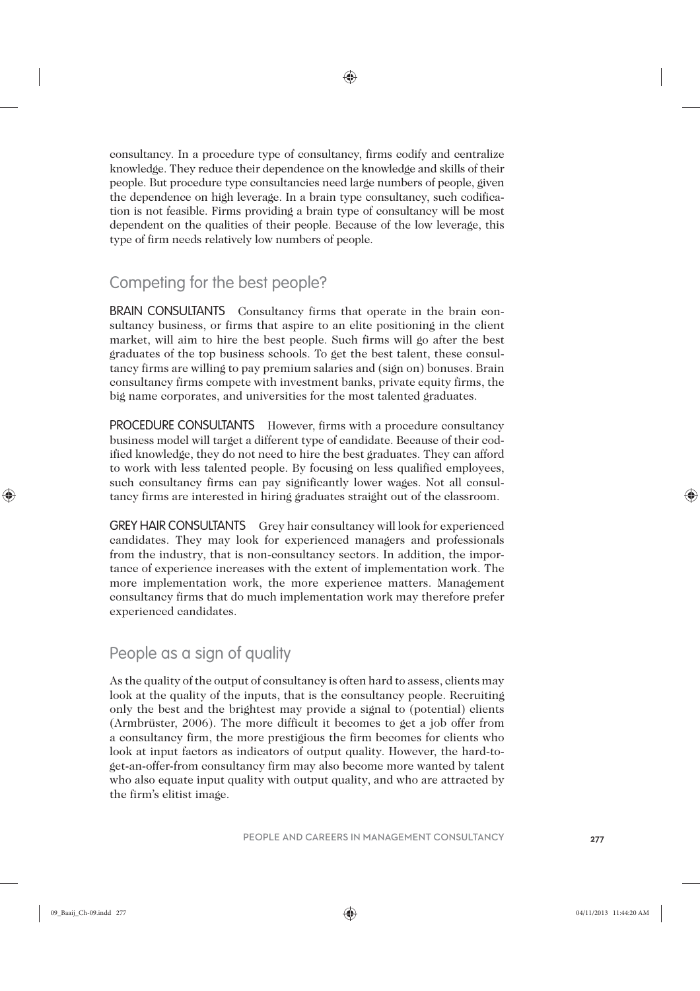consultancy. In a procedure type of consultancy, firms codify and centralize knowledge. They reduce their dependence on the knowledge and skills of their people. But procedure type consultancies need large numbers of people, given the dependence on high leverage. In a brain type consultancy, such codification is not feasible. Firms providing a brain type of consultancy will be most dependent on the qualities of their people. Because of the low leverage, this type of firm needs relatively low numbers of people.

◈

# Competing for the best people?

BRAIN CONSULTANTS Consultancy firms that operate in the brain consultancy business, or firms that aspire to an elite positioning in the client market, will aim to hire the best people. Such firms will go after the best graduates of the top business schools. To get the best talent, these consultancy firms are willing to pay premium salaries and (sign on) bonuses. Brain consultancy firms compete with investment banks, private equity firms, the big name corporates, and universities for the most talented graduates.

PROCEDURE CONSULTANTS However, firms with a procedure consultancy business model will target a different type of candidate. Because of their codified knowledge, they do not need to hire the best graduates. They can afford to work with less talented people. By focusing on less qualified employees, such consultancy firms can pay significantly lower wages. Not all consultancy firms are interested in hiring graduates straight out of the classroom.

GREY HAIR CONSULTANTS Grey hair consultancy will look for experienced candidates. They may look for experienced managers and professionals from the industry, that is non-consultancy sectors. In addition, the importance of experience increases with the extent of implementation work. The more implementation work, the more experience matters. Management consultancy firms that do much implementation work may therefore prefer experienced candidates.

# People as a sign of quality

As the quality of the output of consultancy is often hard to assess, clients may look at the quality of the inputs, that is the consultancy people. Recruiting only the best and the brightest may provide a signal to (potential) clients (Armbrüster, 2006). The more difficult it becomes to get a job offer from a consultancy firm, the more prestigious the firm becomes for clients who look at input factors as indicators of output quality. However, the hard-toget-an-offer-from consultancy firm may also become more wanted by talent who also equate input quality with output quality, and who are attracted by the firm's elitist image.

♠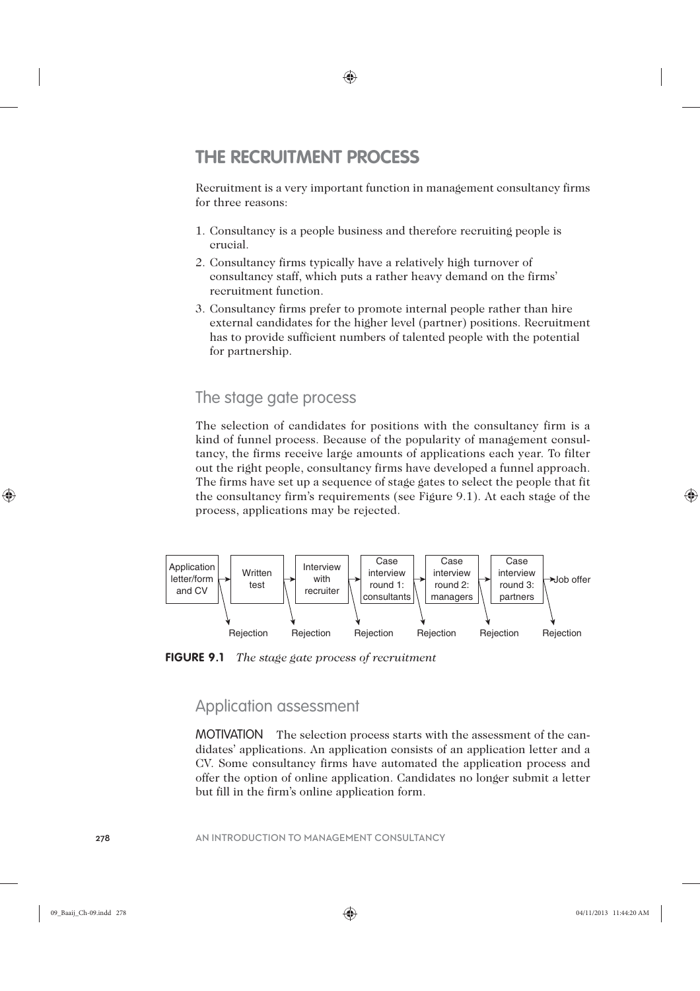# **THE RECRUITMENT PROCESS**

◈

Recruitment is a very important function in management consultancy firms for three reasons:

- 1. Consultancy is a people business and therefore recruiting people is crucial.
- 2. Consultancy firms typically have a relatively high turnover of consultancy staff, which puts a rather heavy demand on the firms' recruitment function.
- 3. Consultancy firms prefer to promote internal people rather than hire external candidates for the higher level (partner) positions. Recruitment has to provide sufficient numbers of talented people with the potential for partnership.

# The stage gate process

The selection of candidates for positions with the consultancy firm is a kind of funnel process. Because of the popularity of management consultancy, the firms receive large amounts of applications each year. To filter out the right people, consultancy firms have developed a funnel approach. The firms have set up a sequence of stage gates to select the people that fit the consultancy firm's requirements (see Figure 9.1). At each stage of the process, applications may be rejected.



**FIGURE 9.1** *The stage gate process of recruitment*

# Application assessment

MOTIVATION The selection process starts with the assessment of the candidates' applications. An application consists of an application letter and a CV. Some consultancy firms have automated the application process and offer the option of online application. Candidates no longer submit a letter but fill in the firm's online application form.

♠

278 AN INTRODUCTION TO MANAGEMENT CONSULTANCY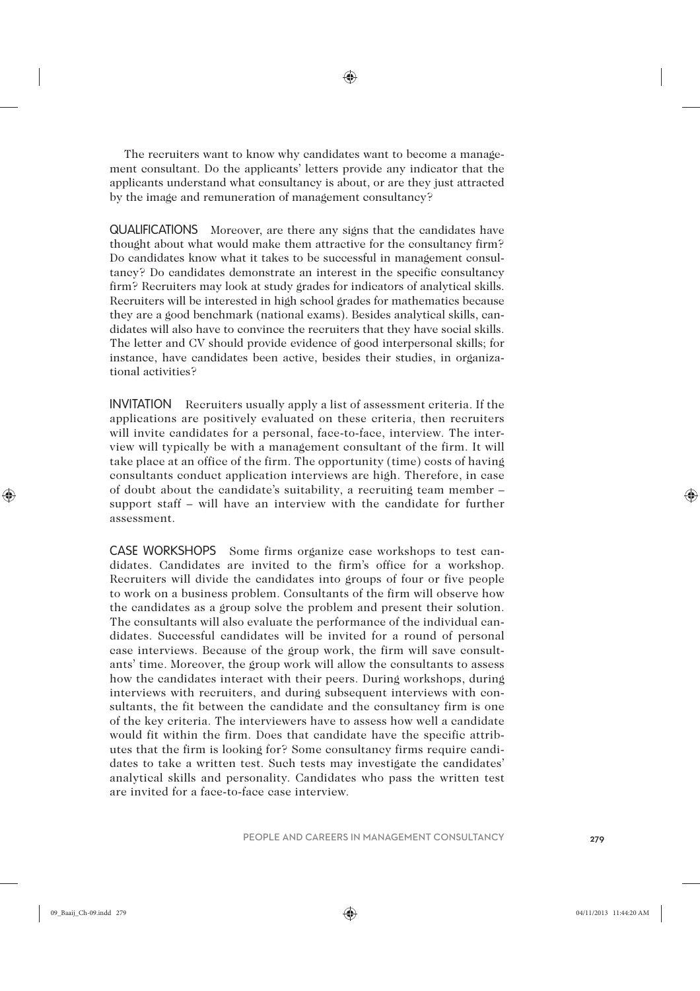The recruiters want to know why candidates want to become a management consultant. Do the applicants' letters provide any indicator that the applicants understand what consultancy is about, or are they just attracted by the image and remuneration of management consultancy?

◈

QUALIFICATIONS Moreover, are there any signs that the candidates have thought about what would make them attractive for the consultancy firm? Do candidates know what it takes to be successful in management consultancy? Do candidates demonstrate an interest in the specific consultancy firm? Recruiters may look at study grades for indicators of analytical skills. Recruiters will be interested in high school grades for mathematics because they are a good benchmark (national exams). Besides analytical skills, candidates will also have to convince the recruiters that they have social skills. The letter and CV should provide evidence of good interpersonal skills; for instance, have candidates been active, besides their studies, in organizational activities?

INVITATION Recruiters usually apply a list of assessment criteria. If the applications are positively evaluated on these criteria, then recruiters will invite candidates for a personal, face-to-face, interview. The interview will typically be with a management consultant of the firm. It will take place at an office of the firm. The opportunity (time) costs of having consultants conduct application interviews are high. Therefore, in case of doubt about the candidate's suitability, a recruiting team member – support staff – will have an interview with the candidate for further assessment.

CASE WORKSHOPS Some firms organize case workshops to test candidates. Candidates are invited to the firm's office for a workshop. Recruiters will divide the candidates into groups of four or five people to work on a business problem. Consultants of the firm will observe how the candidates as a group solve the problem and present their solution. The consultants will also evaluate the performance of the individual candidates. Successful candidates will be invited for a round of personal case interviews. Because of the group work, the firm will save consultants' time. Moreover, the group work will allow the consultants to assess how the candidates interact with their peers. During workshops, during interviews with recruiters, and during subsequent interviews with consultants, the fit between the candidate and the consultancy firm is one of the key criteria. The interviewers have to assess how well a candidate would fit within the firm. Does that candidate have the specific attributes that the firm is looking for? Some consultancy firms require candidates to take a written test. Such tests may investigate the candidates' analytical skills and personality. Candidates who pass the written test are invited for a face-to-face case interview.

PEOPLE AND CAREERS IN MANAGEMENT CONSULTANCY 279

♠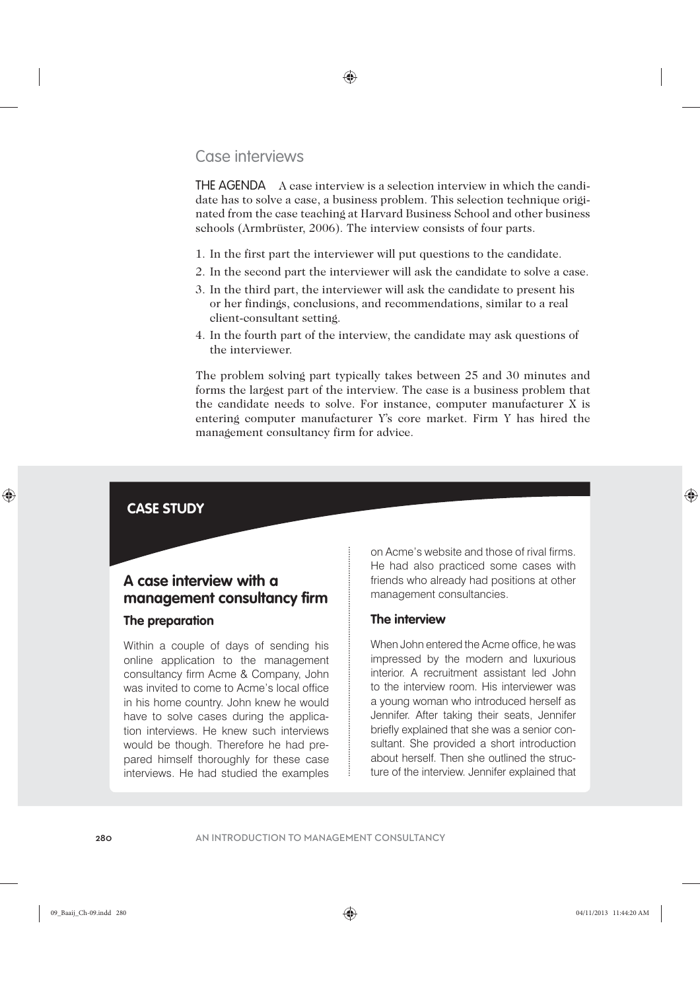# Case interviews

THE AGENDA A case interview is a selection interview in which the candidate has to solve a case, a business problem. This selection technique originated from the case teaching at Harvard Business School and other business schools (Armbrüster, 2006). The interview consists of four parts.

1. In the first part the interviewer will put questions to the candidate.

⊕

- 2. In the second part the interviewer will ask the candidate to solve a case.
- 3. In the third part, the interviewer will ask the candidate to present his or her findings, conclusions, and recommendations, similar to a real client-consultant setting.
- 4. In the fourth part of the interview, the candidate may ask questions of the interviewer.

The problem solving part typically takes between 25 and 30 minutes and forms the largest part of the interview. The case is a business problem that the candidate needs to solve. For instance, computer manufacturer X is entering computer manufacturer Y's core market. Firm Y has hired the management consultancy firm for advice.

#### **CASE STUDY**

◈

# **A case interview with a management consultancy firm The preparation**

Within a couple of days of sending his online application to the management consultancy firm Acme & Company, John was invited to come to Acme's local office in his home country. John knew he would have to solve cases during the application interviews. He knew such interviews would be though. Therefore he had prepared himself thoroughly for these case interviews. He had studied the examples

on Acme's website and those of rival firms. He had also practiced some cases with friends who already had positions at other management consultancies.

#### **The interview**

When John entered the Acme office, he was impressed by the modern and luxurious interior. A recruitment assistant led John to the interview room. His interviewer was a young woman who introduced herself as Jennifer. After taking their seats, Jennifer briefly explained that she was a senior consultant. She provided a short introduction about herself. Then she outlined the structure of the interview. Jennifer explained that

280 AN INTRODUCTION TO MANAGEMENT CONSULTANCY

◈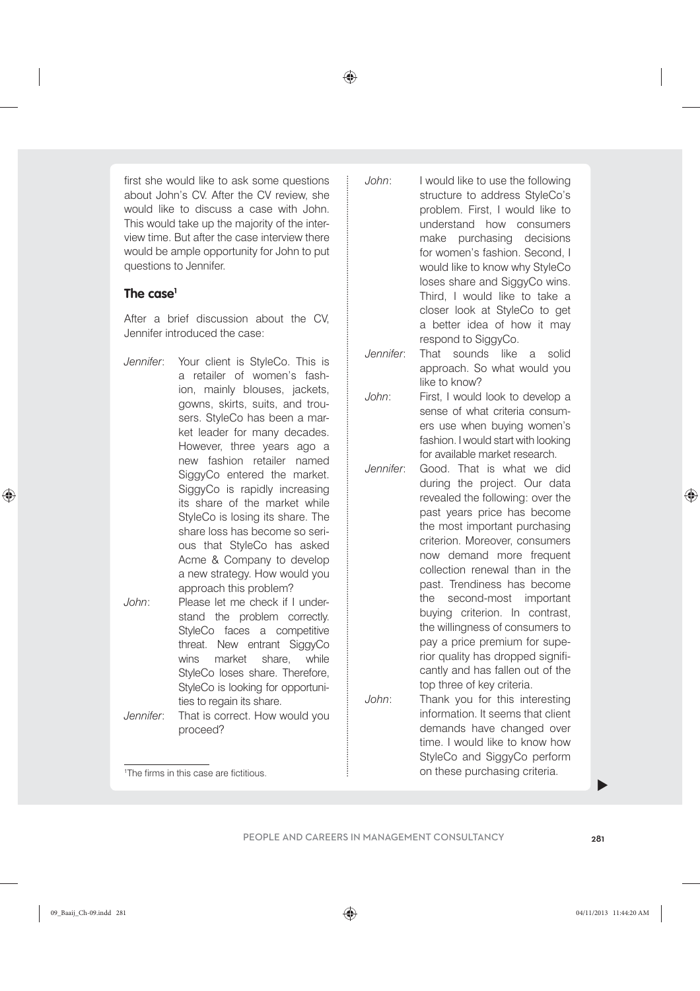first she would like to ask some questions about John's CV. After the CV review, she would like to discuss a case with John. This would take up the majority of the interview time. But after the case interview there would be ample opportunity for John to put questions to Jennifer.

♠

#### The case<sup>1</sup>

After a brief discussion about the CV, Jennifer introduced the case:

- *Jennifer*: Your client is StyleCo. This is a retailer of women's fashion, mainly blouses, jackets, gowns, skirts, suits, and trousers. StyleCo has been a market leader for many decades. However, three years ago a new fashion retailer named SiggyCo entered the market. SiggyCo is rapidly increasing its share of the market while StyleCo is losing its share. The share loss has become so serious that StyleCo has asked Acme & Company to develop a new strategy. How would you approach this problem?
- *John*: Please let me check if I understand the problem correctly. StyleCo faces a competitive threat. New entrant SiggyCo wins market share, while StyleCo loses share. Therefore, StyleCo is looking for opportunities to regain its share.
- *Jennifer*: That is correct. How would you proceed?

1 The firms in this case are fictitious.

- *John*: I would like to use the following structure to address StyleCo's problem. First, I would like to understand how consumers make purchasing decisions for women's fashion. Second, I would like to know why StyleCo loses share and SiggyCo wins. Third, I would like to take a closer look at StyleCo to get a better idea of how it may respond to SiggyCo.
- *Jennifer*: That sounds like a solid approach. So what would you like to know?
- *John*: First, I would look to develop a sense of what criteria consumers use when buying women's fashion. I would start with looking for available market research.
- *Jennifer*: Good. That is what we did during the project. Our data revealed the following: over the past years price has become the most important purchasing criterion. Moreover, consumers now demand more frequent collection renewal than in the past. Trendiness has become the second-most important buying criterion. In contrast, the willingness of consumers to pay a price premium for superior quality has dropped significantly and has fallen out of the top three of key criteria.
- *John*: Thank you for this interesting information. It seems that client demands have changed over time. I would like to know how StyleCo and SiggyCo perform on these purchasing criteria.

PEOPLE AND CAREERS IN MANAGEMENT CONSULTANCY 281

▼

⊕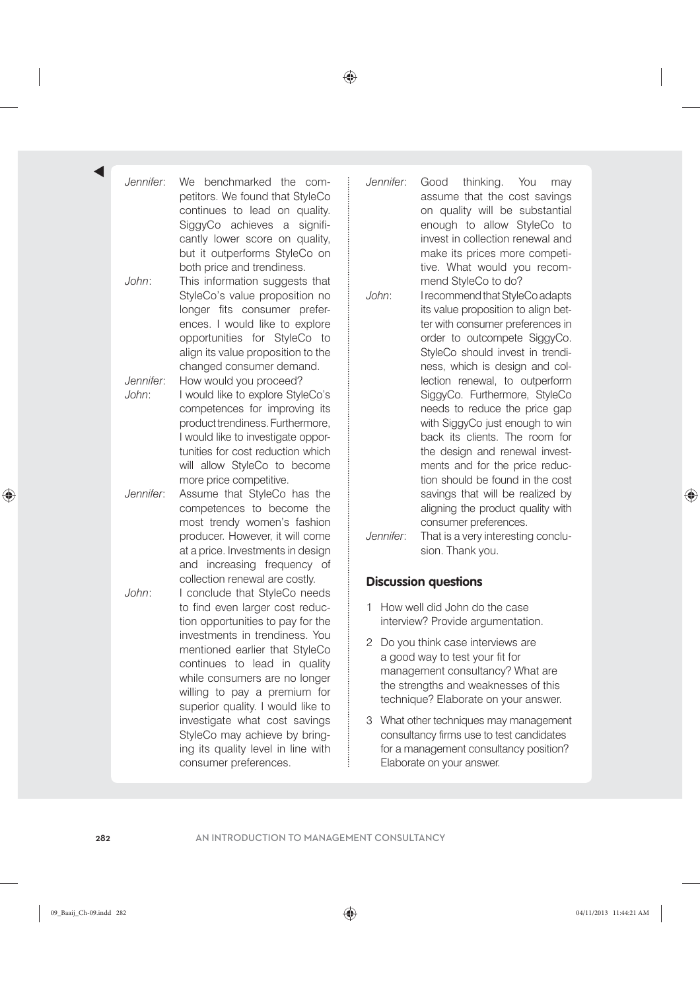| Jennifer:          | We benchmarked the com-<br>petitors. We found that StyleCo<br>continues to lead on quality.<br>SiggyCo achieves a signifi-<br>cantly lower score on quality,<br>but it outperforms StyleCo on<br>both price and trendiness.                                            | Jennifer:<br>Good<br>thinking.<br>You<br>may<br>assume that the cost savings<br>on quality will be substantial<br>enough to allow StyleCo to<br>invest in collection renewal and<br>make its prices more competi-<br>tive. What would you recom-                              |
|--------------------|------------------------------------------------------------------------------------------------------------------------------------------------------------------------------------------------------------------------------------------------------------------------|-------------------------------------------------------------------------------------------------------------------------------------------------------------------------------------------------------------------------------------------------------------------------------|
| John:              | This information suggests that<br>StyleCo's value proposition no<br>longer fits consumer prefer-<br>ences. I would like to explore<br>opportunities for StyleCo to<br>align its value proposition to the<br>changed consumer demand.                                   | mend StyleCo to do?<br>John:<br>I recommend that StyleCo adapts<br>its value proposition to align bet-<br>ter with consumer preferences in<br>order to outcompete SiggyCo.<br>StyleCo should invest in trendi-<br>ness, which is design and col-                              |
| Jennifer:<br>John: | How would you proceed?<br>I would like to explore StyleCo's<br>competences for improving its<br>product trendiness. Furthermore,<br>I would like to investigate oppor-<br>tunities for cost reduction which<br>will allow StyleCo to become<br>more price competitive. | lection renewal, to outperform<br>SiggyCo. Furthermore, StyleCo<br>needs to reduce the price gap<br>with SiggyCo just enough to win<br>back its clients. The room for<br>the design and renewal invest-<br>ments and for the price reduc-<br>tion should be found in the cost |
| Jennifer:          | Assume that StyleCo has the<br>competences to become the<br>most trendy women's fashion<br>producer. However, it will come<br>at a price. Investments in design<br>and increasing frequency of                                                                         | savings that will be realized by<br>aligning the product quality with<br>consumer preferences.<br>Jennifer:<br>That is a very interesting conclu-<br>sion. Thank you.                                                                                                         |
|                    | collection renewal are costly.                                                                                                                                                                                                                                         | <b>Discussion questions</b>                                                                                                                                                                                                                                                   |
| John:              | I conclude that StyleCo needs<br>to find even larger cost reduc-<br>tion opportunities to pay for the                                                                                                                                                                  | How well did John do the case<br>1<br>interview? Provide argumentation.                                                                                                                                                                                                       |
|                    | investments in trendiness. You<br>mentioned earlier that StyleCo<br>continues to lead in quality<br>while consumers are no longer<br>willing to pay a premium for<br>superior quality. I would like to                                                                 | 2 Do you think case interviews are<br>a good way to test your fit for<br>management consultancy? What are<br>the strengths and weaknesses of this<br>technique? Elaborate on your answer.                                                                                     |
|                    | investigate what cost savings<br>StyleCo may achieve by bring-<br>ing its quality level in line with<br>consumer preferences.                                                                                                                                          | 3 What other techniques may management<br>consultancy firms use to test candidates<br>for a management consultancy position?<br>Elaborate on your answer.                                                                                                                     |
|                    |                                                                                                                                                                                                                                                                        |                                                                                                                                                                                                                                                                               |
|                    |                                                                                                                                                                                                                                                                        |                                                                                                                                                                                                                                                                               |

 $\bigoplus$ 

282 AN INTRODUCTION TO MANAGEMENT CONSULTANCY

 $\bigoplus$ 

 $\bigoplus$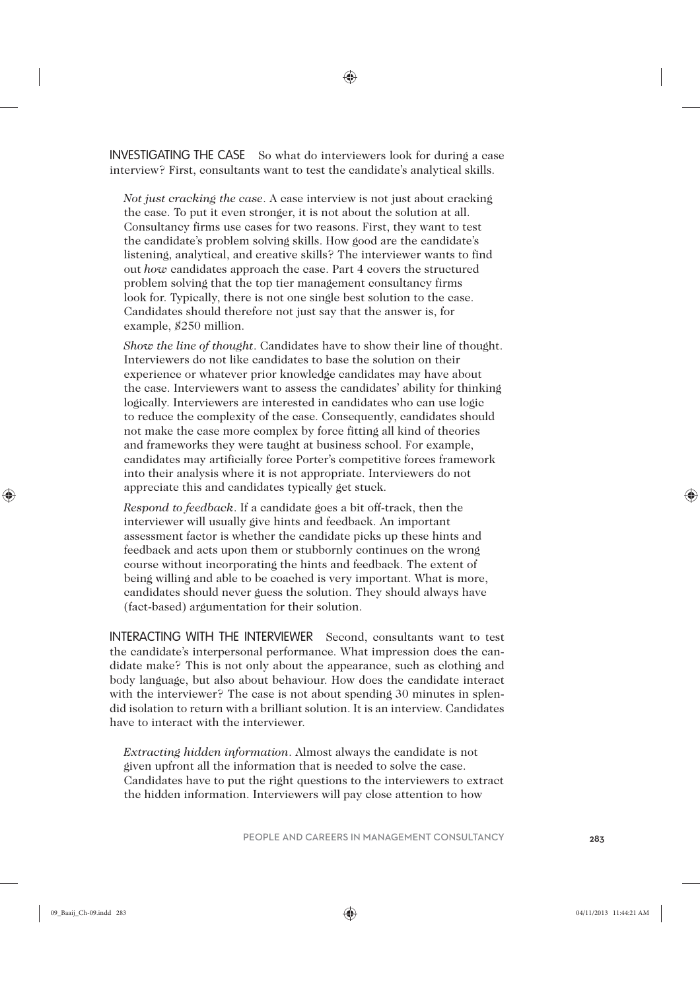INVESTIGATING THE CASE So what do interviewers look for during a case interview? First, consultants want to test the candidate's analytical skills.

♠

*Not just cracking the case*. A case interview is not just about cracking the case. To put it even stronger, it is not about the solution at all. Consultancy firms use cases for two reasons. First, they want to test the candidate's problem solving skills. How good are the candidate's listening, analytical, and creative skills? The interviewer wants to find out *how* candidates approach the case. Part 4 covers the structured problem solving that the top tier management consultancy firms look for. Typically, there is not one single best solution to the case. Candidates should therefore not just say that the answer is, for example, \$250 million.

*Show the line of thought*. Candidates have to show their line of thought. Interviewers do not like candidates to base the solution on their experience or whatever prior knowledge candidates may have about the case. Interviewers want to assess the candidates' ability for thinking logically. Interviewers are interested in candidates who can use logic to reduce the complexity of the case. Consequently, candidates should not make the case more complex by force fitting all kind of theories and frameworks they were taught at business school. For example, candidates may artificially force Porter's competitive forces framework into their analysis where it is not appropriate. Interviewers do not appreciate this and candidates typically get stuck.

*Respond to feedback*. If a candidate goes a bit off-track, then the interviewer will usually give hints and feedback. An important assessment factor is whether the candidate picks up these hints and feedback and acts upon them or stubbornly continues on the wrong course without incorporating the hints and feedback. The extent of being willing and able to be coached is very important. What is more, candidates should never guess the solution. They should always have (fact-based) argumentation for their solution.

INTERACTING WITH THE INTERVIEWER Second, consultants want to test the candidate's interpersonal performance. What impression does the candidate make? This is not only about the appearance, such as clothing and body language, but also about behaviour. How does the candidate interact with the interviewer? The case is not about spending 30 minutes in splendid isolation to return with a brilliant solution. It is an interview. Candidates have to interact with the interviewer.

*Extracting hidden information*. Almost always the candidate is not given upfront all the information that is needed to solve the case. Candidates have to put the right questions to the interviewers to extract the hidden information. Interviewers will pay close attention to how

♠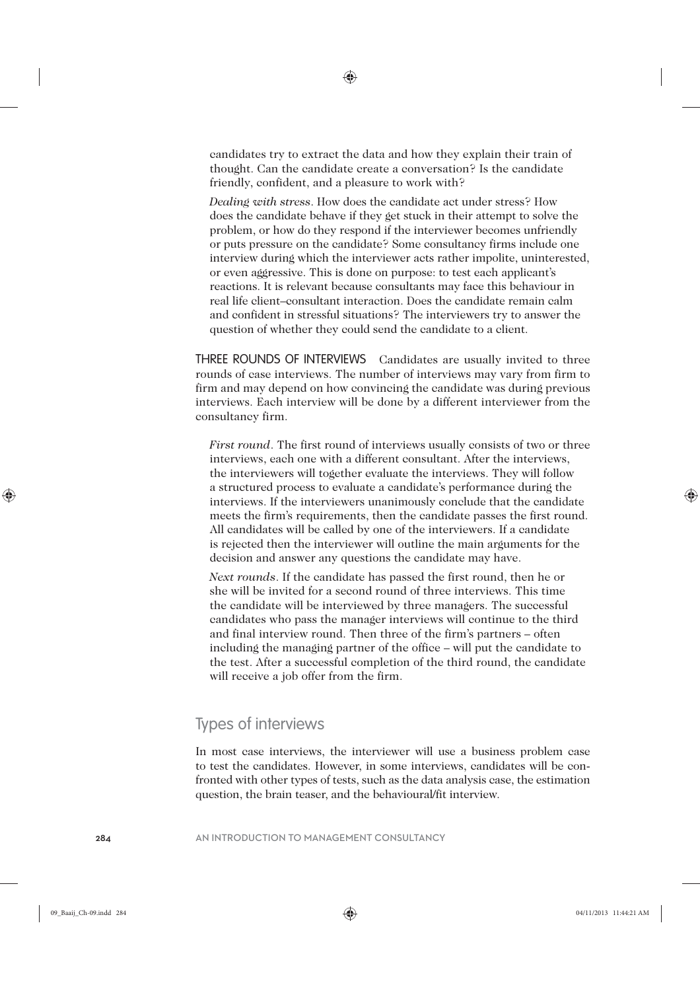candidates try to extract the data and how they explain their train of thought. Can the candidate create a conversation? Is the candidate friendly, confident, and a pleasure to work with?

◈

*Dealing with stress*. How does the candidate act under stress? How does the candidate behave if they get stuck in their attempt to solve the problem, or how do they respond if the interviewer becomes unfriendly or puts pressure on the candidate? Some consultancy firms include one interview during which the interviewer acts rather impolite, uninterested, or even aggressive. This is done on purpose: to test each applicant's reactions. It is relevant because consultants may face this behaviour in real life client–consultant interaction. Does the candidate remain calm and confident in stressful situations? The interviewers try to answer the question of whether they could send the candidate to a client.

THREE ROUNDS OF INTERVIEWS Candidates are usually invited to three rounds of case interviews. The number of interviews may vary from firm to firm and may depend on how convincing the candidate was during previous interviews. Each interview will be done by a different interviewer from the consultancy firm.

*First round*. The first round of interviews usually consists of two or three interviews, each one with a different consultant. After the interviews, the interviewers will together evaluate the interviews. They will follow a structured process to evaluate a candidate's performance during the interviews. If the interviewers unanimously conclude that the candidate meets the firm's requirements, then the candidate passes the first round. All candidates will be called by one of the interviewers. If a candidate is rejected then the interviewer will outline the main arguments for the decision and answer any questions the candidate may have.

*Next rounds*. If the candidate has passed the first round, then he or she will be invited for a second round of three interviews. This time the candidate will be interviewed by three managers. The successful candidates who pass the manager interviews will continue to the third and final interview round. Then three of the firm's partners – often including the managing partner of the office – will put the candidate to the test. After a successful completion of the third round, the candidate will receive a job offer from the firm.

# Types of interviews

In most case interviews, the interviewer will use a business problem case to test the candidates. However, in some interviews, candidates will be confronted with other types of tests, such as the data analysis case, the estimation question, the brain teaser, and the behavioural/fit interview.

284 AN INTRODUCTION TO MANAGEMENT CONSULTANCY

09\_Baaij\_Ch-09.indd 284 04/11/2013 11:44:21 AM

♠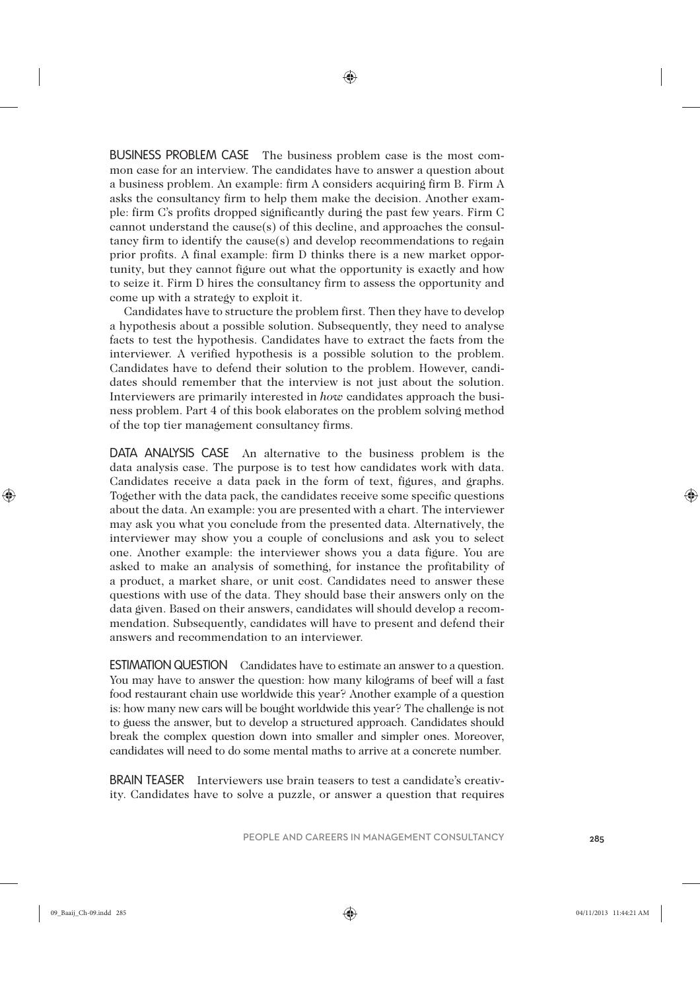BUSINESS PROBLEM CASE The business problem case is the most common case for an interview. The candidates have to answer a question about a business problem. An example: firm A considers acquiring firm B. Firm A asks the consultancy firm to help them make the decision. Another example: firm C's profits dropped significantly during the past few years. Firm C cannot understand the cause(s) of this decline, and approaches the consultancy firm to identify the cause(s) and develop recommendations to regain prior profits. A final example: firm D thinks there is a new market opportunity, but they cannot figure out what the opportunity is exactly and how to seize it. Firm D hires the consultancy firm to assess the opportunity and come up with a strategy to exploit it.

◈

Candidates have to structure the problem first. Then they have to develop a hypothesis about a possible solution. Subsequently, they need to analyse facts to test the hypothesis. Candidates have to extract the facts from the interviewer. A verified hypothesis is a possible solution to the problem. Candidates have to defend their solution to the problem. However, candidates should remember that the interview is not just about the solution. Interviewers are primarily interested in *how* candidates approach the business problem. Part 4 of this book elaborates on the problem solving method of the top tier management consultancy firms.

DATA ANALYSIS CASE An alternative to the business problem is the data analysis case. The purpose is to test how candidates work with data. Candidates receive a data pack in the form of text, figures, and graphs. Together with the data pack, the candidates receive some specific questions about the data. An example: you are presented with a chart. The interviewer may ask you what you conclude from the presented data. Alternatively, the interviewer may show you a couple of conclusions and ask you to select one. Another example: the interviewer shows you a data figure. You are asked to make an analysis of something, for instance the profitability of a product, a market share, or unit cost. Candidates need to answer these questions with use of the data. They should base their answers only on the data given. Based on their answers, candidates will should develop a recommendation. Subsequently, candidates will have to present and defend their answers and recommendation to an interviewer.

ESTIMATION QUESTION Candidates have to estimate an answer to a question. You may have to answer the question: how many kilograms of beef will a fast food restaurant chain use worldwide this year? Another example of a question is: how many new cars will be bought worldwide this year? The challenge is not to guess the answer, but to develop a structured approach. Candidates should break the complex question down into smaller and simpler ones. Moreover, candidates will need to do some mental maths to arrive at a concrete number.

BRAIN TEASER Interviewers use brain teasers to test a candidate's creativity. Candidates have to solve a puzzle, or answer a question that requires

PEOPLE AND CAREERS IN MANAGEMENT CONSULTANCY 285

♠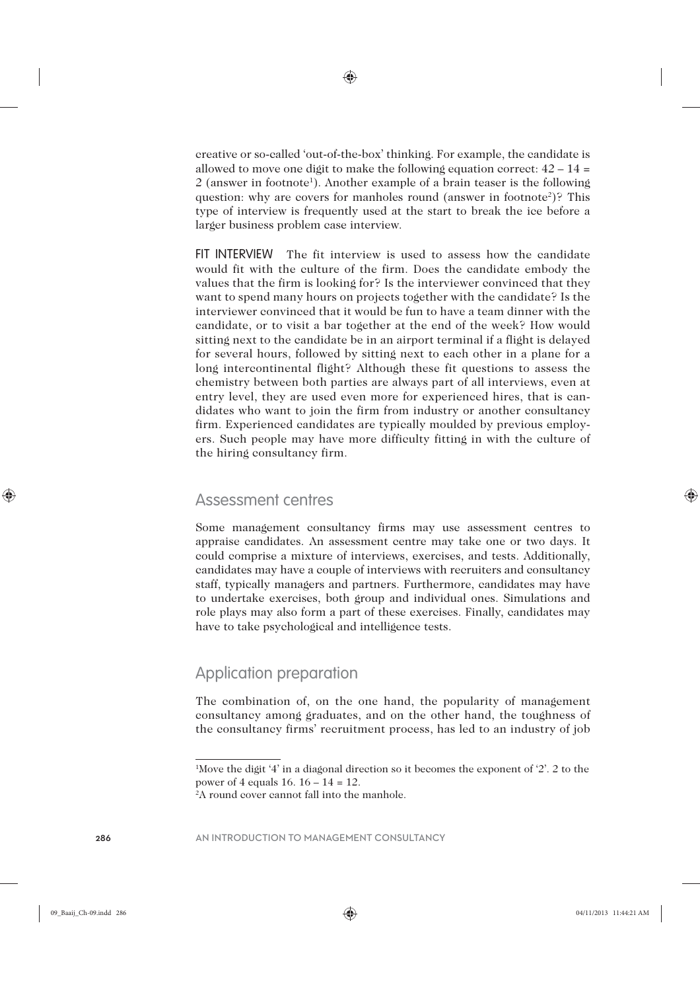creative or so-called 'out-of-the-box' thinking. For example, the candidate is allowed to move one digit to make the following equation correct:  $42 - 14 =$ 

◈

2 (answer in footnote<sup>1</sup>). Another example of a brain teaser is the following question: why are covers for manholes round (answer in footnote<sup>2</sup>)? This type of interview is frequently used at the start to break the ice before a larger business problem case interview.

FIT INTERVIEW The fit interview is used to assess how the candidate would fit with the culture of the firm. Does the candidate embody the values that the firm is looking for? Is the interviewer convinced that they want to spend many hours on projects together with the candidate? Is the interviewer convinced that it would be fun to have a team dinner with the candidate, or to visit a bar together at the end of the week? How would sitting next to the candidate be in an airport terminal if a flight is delayed for several hours, followed by sitting next to each other in a plane for a long intercontinental flight? Although these fit questions to assess the chemistry between both parties are always part of all interviews, even at entry level, they are used even more for experienced hires, that is candidates who want to join the firm from industry or another consultancy firm. Experienced candidates are typically moulded by previous employers. Such people may have more difficulty fitting in with the culture of the hiring consultancy firm.

#### Assessment centres

Some management consultancy firms may use assessment centres to appraise candidates. An assessment centre may take one or two days. It could comprise a mixture of interviews, exercises, and tests. Additionally, candidates may have a couple of interviews with recruiters and consultancy staff, typically managers and partners. Furthermore, candidates may have to undertake exercises, both group and individual ones. Simulations and role plays may also form a part of these exercises. Finally, candidates may have to take psychological and intelligence tests.

#### Application preparation

The combination of, on the one hand, the popularity of management consultancy among graduates, and on the other hand, the toughness of the consultancy firms' recruitment process, has led to an industry of job

2 A round cover cannot fall into the manhole.

286 AN INTRODUCTION TO MANAGEMENT CONSULTANCY

♠

<sup>1</sup> Move the digit '4' in a diagonal direction so it becomes the exponent of '2'. 2 to the power of 4 equals 16. 16 – 14 = 12.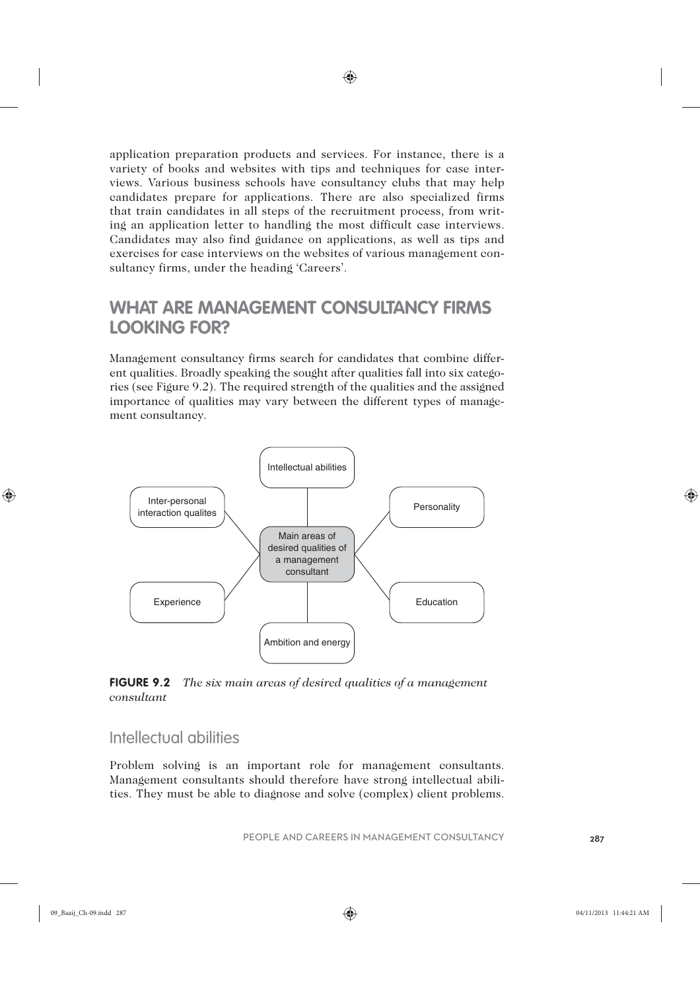application preparation products and services. For instance, there is a variety of books and websites with tips and techniques for case interviews. Various business schools have consultancy clubs that may help candidates prepare for applications. There are also specialized firms that train candidates in all steps of the recruitment process, from writing an application letter to handling the most difficult case interviews. Candidates may also find guidance on applications, as well as tips and exercises for case interviews on the websites of various management consultancy firms, under the heading 'Careers'.

◈

# **WHAT ARE MANAGEMENT CONSULTANCY FIRMS LOOKING FOR?**

Management consultancy firms search for candidates that combine different qualities. Broadly speaking the sought after qualities fall into six categories (see Figure 9.2). The required strength of the qualities and the assigned importance of qualities may vary between the different types of management consultancy.





#### Intellectual abilities

Problem solving is an important role for management consultants. Management consultants should therefore have strong intellectual abilities. They must be able to diagnose and solve (complex) client problems.

 $\bigoplus$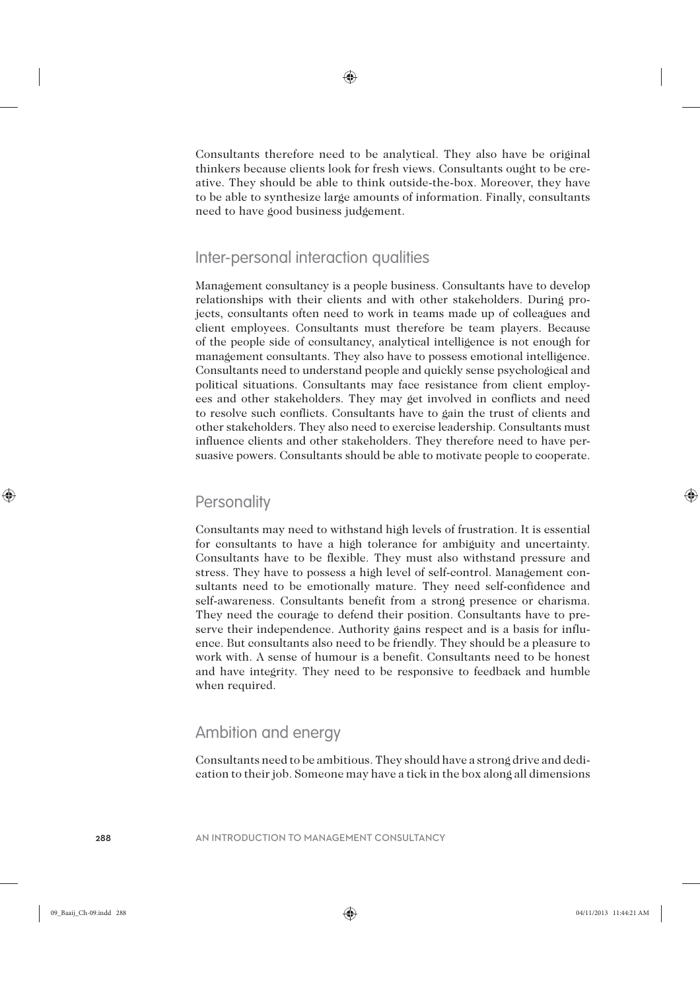Consultants therefore need to be analytical. They also have be original thinkers because clients look for fresh views. Consultants ought to be creative. They should be able to think outside-the-box. Moreover, they have to be able to synthesize large amounts of information. Finally, consultants need to have good business judgement.

◈

#### Inter-personal interaction qualities

Management consultancy is a people business. Consultants have to develop relationships with their clients and with other stakeholders. During projects, consultants often need to work in teams made up of colleagues and client employees. Consultants must therefore be team players. Because of the people side of consultancy, analytical intelligence is not enough for management consultants. They also have to possess emotional intelligence. Consultants need to understand people and quickly sense psychological and political situations. Consultants may face resistance from client employees and other stakeholders. They may get involved in conflicts and need to resolve such conflicts. Consultants have to gain the trust of clients and other stakeholders. They also need to exercise leadership. Consultants must influence clients and other stakeholders. They therefore need to have persuasive powers. Consultants should be able to motivate people to cooperate.

#### **Personality**

Consultants may need to withstand high levels of frustration. It is essential for consultants to have a high tolerance for ambiguity and uncertainty. Consultants have to be flexible. They must also withstand pressure and stress. They have to possess a high level of self-control. Management consultants need to be emotionally mature. They need self-confidence and self-awareness. Consultants benefit from a strong presence or charisma. They need the courage to defend their position. Consultants have to preserve their independence. Authority gains respect and is a basis for influence. But consultants also need to be friendly. They should be a pleasure to work with. A sense of humour is a benefit. Consultants need to be honest and have integrity. They need to be responsive to feedback and humble when required.

# Ambition and energy

Consultants need to be ambitious. They should have a strong drive and dedication to their job. Someone may have a tick in the box along all dimensions

288 AN INTRODUCTION TO MANAGEMENT CONSULTANCY

♠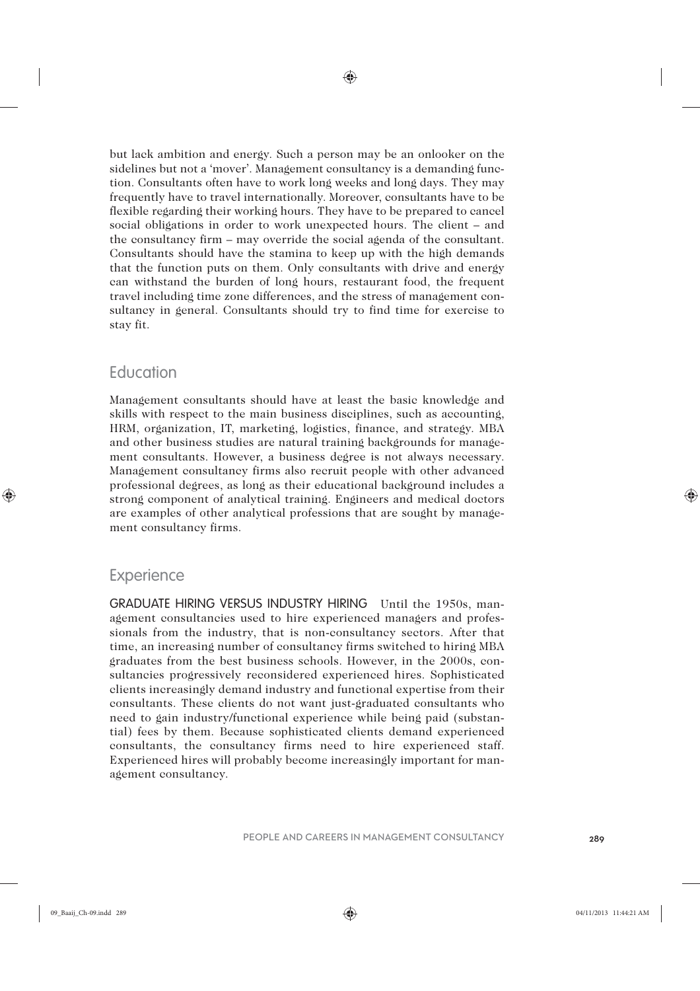but lack ambition and energy. Such a person may be an onlooker on the sidelines but not a 'mover'. Management consultancy is a demanding function. Consultants often have to work long weeks and long days. They may frequently have to travel internationally. Moreover, consultants have to be flexible regarding their working hours. They have to be prepared to cancel social obligations in order to work unexpected hours. The client – and the consultancy firm – may override the social agenda of the consultant. Consultants should have the stamina to keep up with the high demands that the function puts on them. Only consultants with drive and energy can withstand the burden of long hours, restaurant food, the frequent travel including time zone differences, and the stress of management consultancy in general. Consultants should try to find time for exercise to stay fit.

◈

#### **Education**

Management consultants should have at least the basic knowledge and skills with respect to the main business disciplines, such as accounting, HRM, organization, IT, marketing, logistics, finance, and strategy. MBA and other business studies are natural training backgrounds for management consultants. However, a business degree is not always necessary. Management consultancy firms also recruit people with other advanced professional degrees, as long as their educational background includes a strong component of analytical training. Engineers and medical doctors are examples of other analytical professions that are sought by management consultancy firms.

#### **Experience**

♠

GRADUATE HIRING VERSUS INDUSTRY HIRING Until the 1950s, management consultancies used to hire experienced managers and professionals from the industry, that is non-consultancy sectors. After that time, an increasing number of consultancy firms switched to hiring MBA graduates from the best business schools. However, in the 2000s, consultancies progressively reconsidered experienced hires. Sophisticated clients increasingly demand industry and functional expertise from their consultants. These clients do not want just-graduated consultants who need to gain industry/functional experience while being paid (substantial) fees by them. Because sophisticated clients demand experienced consultants, the consultancy firms need to hire experienced staff. Experienced hires will probably become increasingly important for management consultancy.

PEOPLE AND CAREERS IN MANAGEMENT CONSULTANCY 289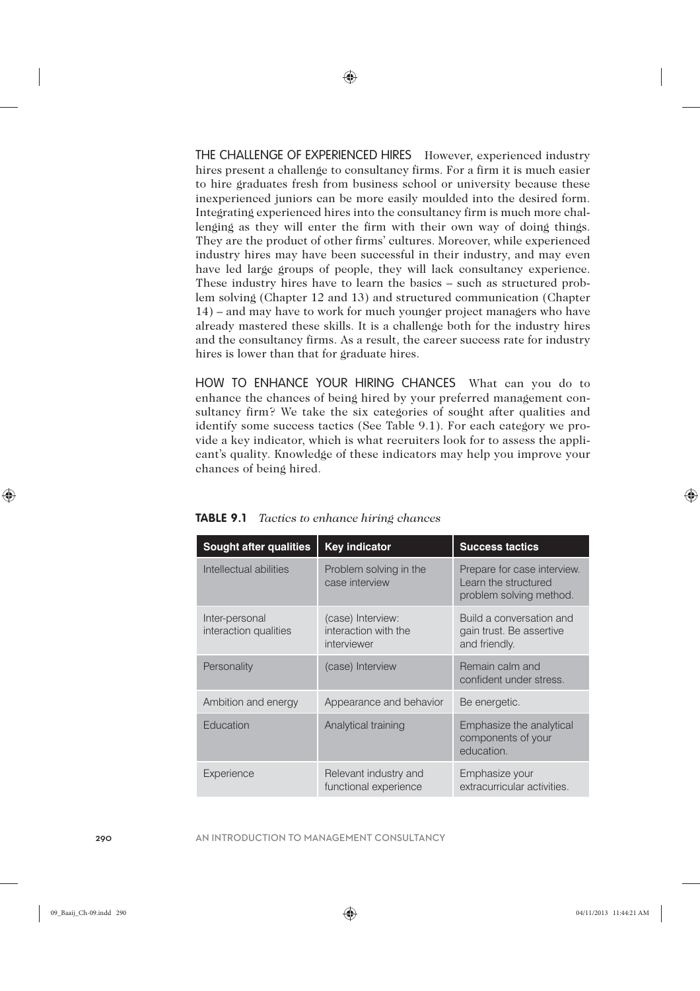THE CHALLENGE OF EXPERIENCED HIRES However, experienced industry hires present a challenge to consultancy firms. For a firm it is much easier to hire graduates fresh from business school or university because these inexperienced juniors can be more easily moulded into the desired form. Integrating experienced hires into the consultancy firm is much more challenging as they will enter the firm with their own way of doing things. They are the product of other firms' cultures. Moreover, while experienced industry hires may have been successful in their industry, and may even have led large groups of people, they will lack consultancy experience. These industry hires have to learn the basics – such as structured problem solving (Chapter 12 and 13) and structured communication (Chapter 14) – and may have to work for much younger project managers who have already mastered these skills. It is a challenge both for the industry hires and the consultancy firms. As a result, the career success rate for industry hires is lower than that for graduate hires.

◈

HOW TO ENHANCE YOUR HIRING CHANCES What can you do to enhance the chances of being hired by your preferred management consultancy firm? We take the six categories of sought after qualities and identify some success tactics (See Table 9.1). For each category we provide a key indicator, which is what recruiters look for to assess the applicant's quality. Knowledge of these indicators may help you improve your chances of being hired.

| Sought after qualities                  | <b>Key indicator</b>                                     | <b>Success tactics</b>                                                         |
|-----------------------------------------|----------------------------------------------------------|--------------------------------------------------------------------------------|
| Intellectual abilities                  | Problem solving in the<br>case interview                 | Prepare for case interview.<br>Learn the structured<br>problem solving method. |
| Inter-personal<br>interaction qualities | (case) Interview:<br>interaction with the<br>interviewer | Build a conversation and<br>gain trust. Be assertive<br>and friendly.          |
| Personality                             | (case) Interview                                         | Remain calm and<br>confident under stress.                                     |
| Ambition and energy                     | Appearance and behavior                                  | Be energetic.                                                                  |
| Education                               | Analytical training                                      | Emphasize the analytical<br>components of your<br>education.                   |
| Experience                              | Relevant industry and<br>functional experience           | Emphasize your<br>extracurricular activities.                                  |

**TABLE 9.1** *Tactics to enhance hiring chances*

290 AN INTRODUCTION TO MANAGEMENT CONSULTANCY

♠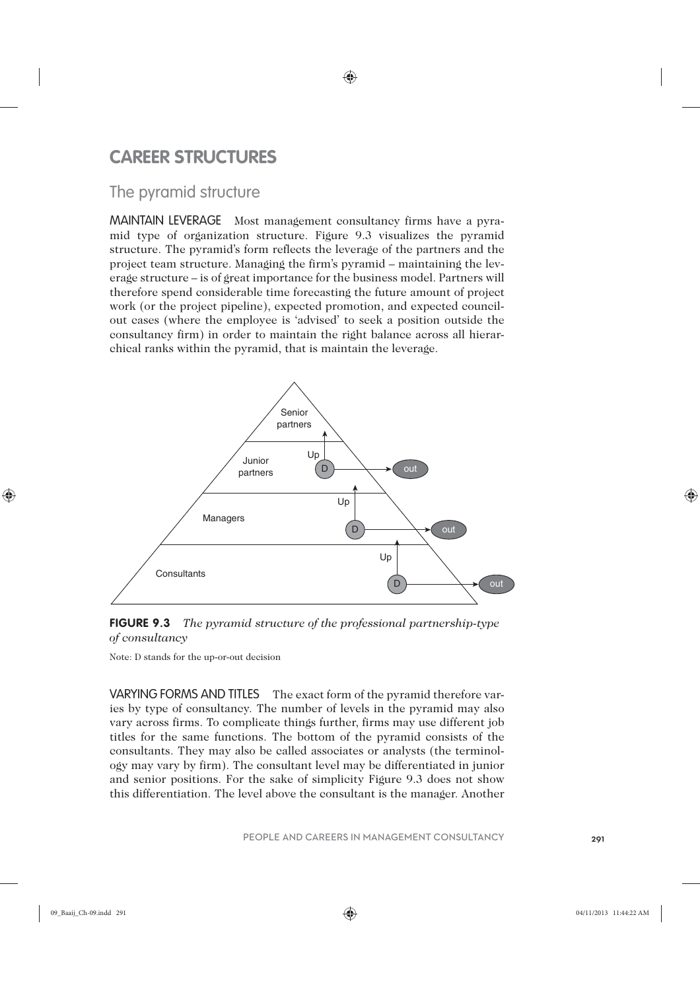# **CAREER STRUCTURES**

# The pyramid structure

MAINTAIN LEVERAGE Most management consultancy firms have a pyramid type of organization structure. Figure 9.3 visualizes the pyramid structure. The pyramid's form reflects the leverage of the partners and the project team structure. Managing the firm's pyramid – maintaining the leverage structure – is of great importance for the business model. Partners will therefore spend considerable time forecasting the future amount of project work (or the project pipeline), expected promotion, and expected councilout cases (where the employee is 'advised' to seek a position outside the consultancy firm) in order to maintain the right balance across all hierarchical ranks within the pyramid, that is maintain the leverage.

⊕



**FIGURE 9.3** *The pyramid structure of the professional partnership-type of consultancy* 

Note: D stands for the up-or-out decision

VARYING FORMS AND TITLES The exact form of the pyramid therefore varies by type of consultancy. The number of levels in the pyramid may also vary across firms. To complicate things further, firms may use different job titles for the same functions. The bottom of the pyramid consists of the consultants. They may also be called associates or analysts (the terminology may vary by firm). The consultant level may be differentiated in junior and senior positions. For the sake of simplicity Figure 9.3 does not show this differentiation. The level above the consultant is the manager. Another

♠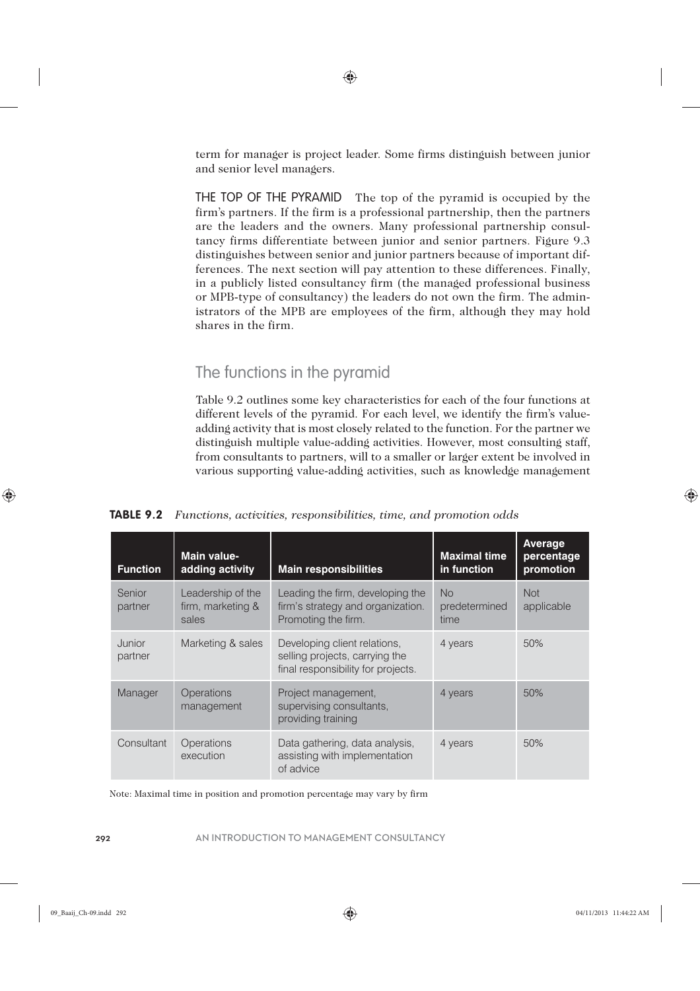term for manager is project leader. Some firms distinguish between junior and senior level managers.

◈

THE TOP OF THE PYRAMID The top of the pyramid is occupied by the firm's partners. If the firm is a professional partnership, then the partners are the leaders and the owners. Many professional partnership consultancy firms differentiate between junior and senior partners. Figure 9.3 distinguishes between senior and junior partners because of important differences. The next section will pay attention to these differences. Finally, in a publicly listed consultancy firm (the managed professional business or MPB-type of consultancy) the leaders do not own the firm. The administrators of the MPB are employees of the firm, although they may hold shares in the firm.

# The functions in the pyramid

Table 9.2 outlines some key characteristics for each of the four functions at different levels of the pyramid. For each level, we identify the firm's valueadding activity that is most closely related to the function. For the partner we distinguish multiple value-adding activities. However, most consulting staff, from consultants to partners, will to a smaller or larger extent be involved in various supporting value-adding activities, such as knowledge management

| <b>Function</b>   | <b>Main value-</b><br>adding activity           | <b>Main responsibilities</b>                                                                         | <b>Maximal time</b><br>in function | Average<br>percentage<br>promotion |
|-------------------|-------------------------------------------------|------------------------------------------------------------------------------------------------------|------------------------------------|------------------------------------|
| Senior<br>partner | Leadership of the<br>firm, marketing &<br>sales | Leading the firm, developing the<br>firm's strategy and organization.<br>Promoting the firm.         | <b>No</b><br>predetermined<br>time | <b>Not</b><br>applicable           |
| Junior<br>partner | Marketing & sales                               | Developing client relations,<br>selling projects, carrying the<br>final responsibility for projects. | 4 years                            | 50%                                |
| Manager           | Operations<br>management                        | Project management,<br>supervising consultants.<br>providing training                                | 4 years                            | 50%                                |
| Consultant        | Operations<br>execution                         | Data gathering, data analysis,<br>assisting with implementation<br>of advice                         | 4 years                            | 50%                                |

#### **TABLE 9.2** *Functions, activities, responsibilities, time, and promotion odds*

Note: Maximal time in position and promotion percentage may vary by firm

292 AN INTRODUCTION TO MANAGEMENT CONSULTANCY

♠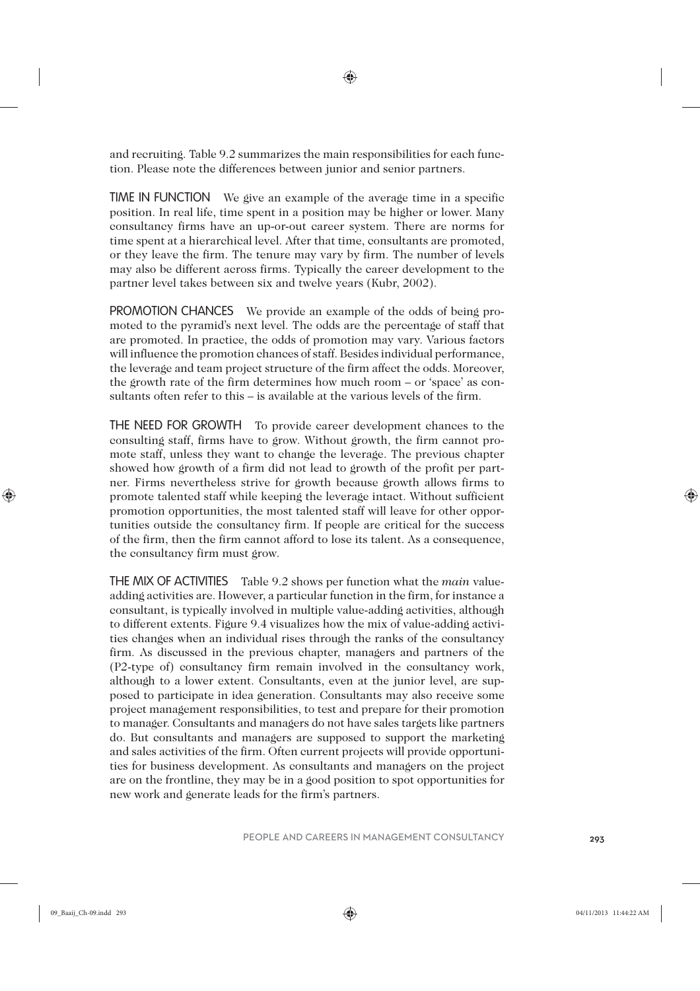and recruiting. Table 9.2 summarizes the main responsibilities for each function. Please note the differences between junior and senior partners.

◈

TIME IN FUNCTION We give an example of the average time in a specific position. In real life, time spent in a position may be higher or lower. Many consultancy firms have an up-or-out career system. There are norms for time spent at a hierarchical level. After that time, consultants are promoted, or they leave the firm. The tenure may vary by firm. The number of levels may also be different across firms. Typically the career development to the partner level takes between six and twelve years (Kubr, 2002).

PROMOTION CHANCES We provide an example of the odds of being promoted to the pyramid's next level. The odds are the percentage of staff that are promoted. In practice, the odds of promotion may vary. Various factors will influence the promotion chances of staff. Besides individual performance, the leverage and team project structure of the firm affect the odds. Moreover, the growth rate of the firm determines how much room – or 'space' as consultants often refer to this – is available at the various levels of the firm.

THE NEED FOR GROWTH To provide career development chances to the consulting staff, firms have to grow. Without growth, the firm cannot promote staff, unless they want to change the leverage. The previous chapter showed how growth of a firm did not lead to growth of the profit per partner. Firms nevertheless strive for growth because growth allows firms to promote talented staff while keeping the leverage intact. Without sufficient promotion opportunities, the most talented staff will leave for other opportunities outside the consultancy firm. If people are critical for the success of the firm, then the firm cannot afford to lose its talent. As a consequence, the consultancy firm must grow.

THE MIX OF ACTIVITIES Table 9.2 shows per function what the *main* valueadding activities are. However, a particular function in the firm, for instance a consultant, is typically involved in multiple value-adding activities, although to different extents. Figure 9.4 visualizes how the mix of value-adding activities changes when an individual rises through the ranks of the consultancy firm. As discussed in the previous chapter, managers and partners of the (P2-type of) consultancy firm remain involved in the consultancy work, although to a lower extent. Consultants, even at the junior level, are supposed to participate in idea generation. Consultants may also receive some project management responsibilities, to test and prepare for their promotion to manager. Consultants and managers do not have sales targets like partners do. But consultants and managers are supposed to support the marketing and sales activities of the firm. Often current projects will provide opportunities for business development. As consultants and managers on the project are on the frontline, they may be in a good position to spot opportunities for new work and generate leads for the firm's partners.

PEOPLE AND CAREERS IN MANAGEMENT CONSULTANCY 293

♠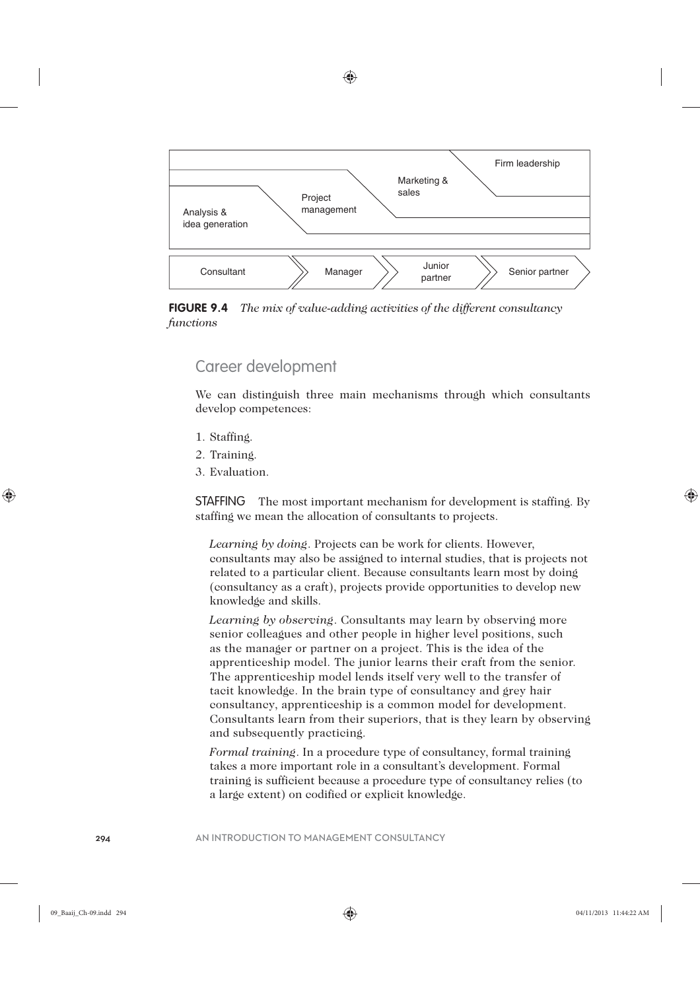

◈

**FIGURE 9.4** *The mix of value-adding activities of the different consultancy functions*

#### Career development

We can distinguish three main mechanisms through which consultants develop competences:

- 1. Staffing.
- 2. Training.
- 3. Evaluation.

**STAFFING** The most important mechanism for development is staffing. By staffing we mean the allocation of consultants to projects.

*Learning by doing*. Projects can be work for clients. However, consultants may also be assigned to internal studies, that is projects not related to a particular client. Because consultants learn most by doing (consultancy as a craft), projects provide opportunities to develop new knowledge and skills.

*Learning by observing*. Consultants may learn by observing more senior colleagues and other people in higher level positions, such as the manager or partner on a project. This is the idea of the apprenticeship model. The junior learns their craft from the senior. The apprenticeship model lends itself very well to the transfer of tacit knowledge. In the brain type of consultancy and grey hair consultancy, apprenticeship is a common model for development. Consultants learn from their superiors, that is they learn by observing and subsequently practicing.

*Formal training*. In a procedure type of consultancy, formal training takes a more important role in a consultant's development. Formal training is sufficient because a procedure type of consultancy relies (to a large extent) on codified or explicit knowledge.

294 AN INTRODUCTION TO MANAGEMENT CONSULTANCY

♠

◈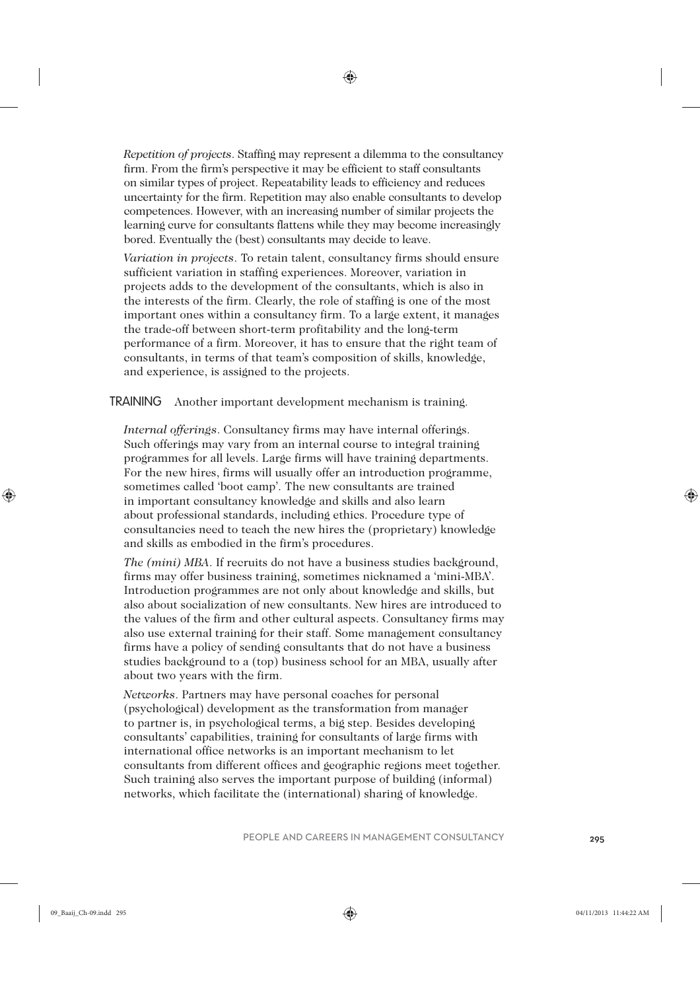*Repetition of projects*. Staffing may represent a dilemma to the consultancy firm. From the firm's perspective it may be efficient to staff consultants on similar types of project. Repeatability leads to efficiency and reduces uncertainty for the firm. Repetition may also enable consultants to develop competences. However, with an increasing number of similar projects the learning curve for consultants flattens while they may become increasingly bored. Eventually the (best) consultants may decide to leave.

♠

*Variation in projects*. To retain talent, consultancy firms should ensure sufficient variation in staffing experiences. Moreover, variation in projects adds to the development of the consultants, which is also in the interests of the firm. Clearly, the role of staffing is one of the most important ones within a consultancy firm. To a large extent, it manages the trade-off between short-term profitability and the long-term performance of a firm. Moreover, it has to ensure that the right team of consultants, in terms of that team's composition of skills, knowledge, and experience, is assigned to the projects.

TRAINING Another important development mechanism is training.

*Internal offerings*. Consultancy firms may have internal offerings. Such offerings may vary from an internal course to integral training programmes for all levels. Large firms will have training departments. For the new hires, firms will usually offer an introduction programme, sometimes called 'boot camp'. The new consultants are trained in important consultancy knowledge and skills and also learn about professional standards, including ethics. Procedure type of consultancies need to teach the new hires the (proprietary) knowledge and skills as embodied in the firm's procedures.

*The (mini) MBA*. If recruits do not have a business studies background, firms may offer business training, sometimes nicknamed a 'mini-MBA'. Introduction programmes are not only about knowledge and skills, but also about socialization of new consultants. New hires are introduced to the values of the firm and other cultural aspects. Consultancy firms may also use external training for their staff. Some management consultancy firms have a policy of sending consultants that do not have a business studies background to a (top) business school for an MBA, usually after about two years with the firm.

*Networks*. Partners may have personal coaches for personal (psychological) development as the transformation from manager to partner is, in psychological terms, a big step. Besides developing consultants' capabilities, training for consultants of large firms with international office networks is an important mechanism to let consultants from different offices and geographic regions meet together. Such training also serves the important purpose of building (informal) networks, which facilitate the (international) sharing of knowledge.

♠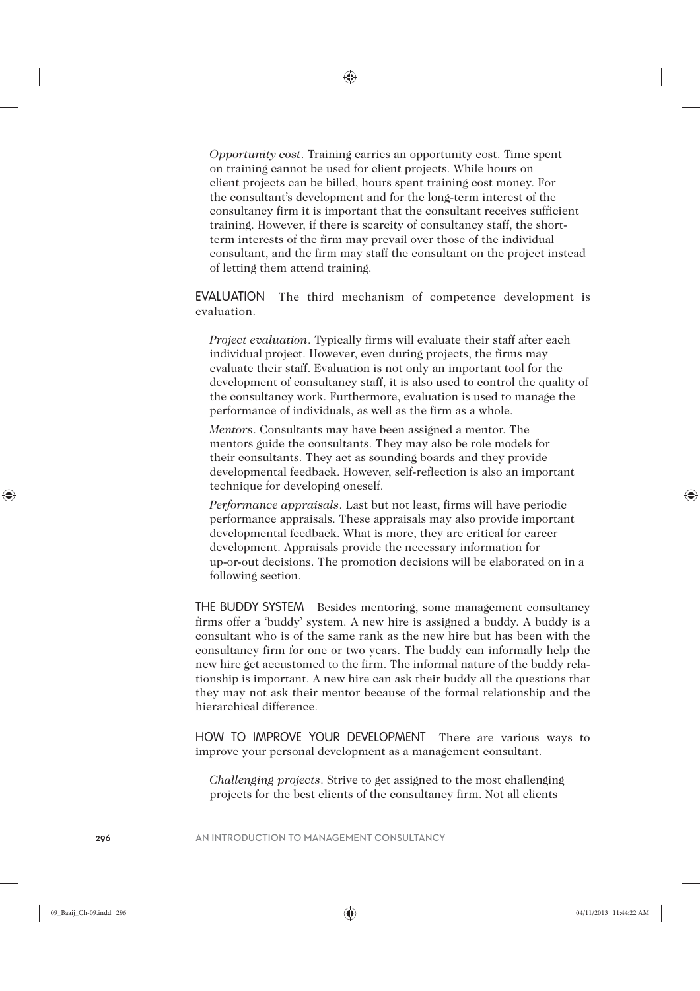*Opportunity cost*. Training carries an opportunity cost. Time spent on training cannot be used for client projects. While hours on client projects can be billed, hours spent training cost money. For the consultant's development and for the long-term interest of the consultancy firm it is important that the consultant receives sufficient training. However, if there is scarcity of consultancy staff, the shortterm interests of the firm may prevail over those of the individual consultant, and the firm may staff the consultant on the project instead of letting them attend training.

◈

EVALUATION The third mechanism of competence development is evaluation.

*Project evaluation*. Typically firms will evaluate their staff after each individual project. However, even during projects, the firms may evaluate their staff. Evaluation is not only an important tool for the development of consultancy staff, it is also used to control the quality of the consultancy work. Furthermore, evaluation is used to manage the performance of individuals, as well as the firm as a whole.

*Mentors*. Consultants may have been assigned a mentor. The mentors guide the consultants. They may also be role models for their consultants. They act as sounding boards and they provide developmental feedback. However, self-reflection is also an important technique for developing oneself.

*Performance appraisals*. Last but not least, firms will have periodic performance appraisals. These appraisals may also provide important developmental feedback. What is more, they are critical for career development. Appraisals provide the necessary information for up-or-out decisions. The promotion decisions will be elaborated on in a following section.

THE BUDDY SYSTEM Besides mentoring, some management consultancy firms offer a 'buddy' system. A new hire is assigned a buddy. A buddy is a consultant who is of the same rank as the new hire but has been with the consultancy firm for one or two years. The buddy can informally help the new hire get accustomed to the firm. The informal nature of the buddy relationship is important. A new hire can ask their buddy all the questions that they may not ask their mentor because of the formal relationship and the hierarchical difference.

HOW TO IMPROVE YOUR DEVELOPMENT There are various ways to improve your personal development as a management consultant.

*Challenging projects.* Strive to get assigned to the most challenging projects for the best clients of the consultancy firm. Not all clients

296 AN INTRODUCTION TO MANAGEMENT CONSULTANCY

♠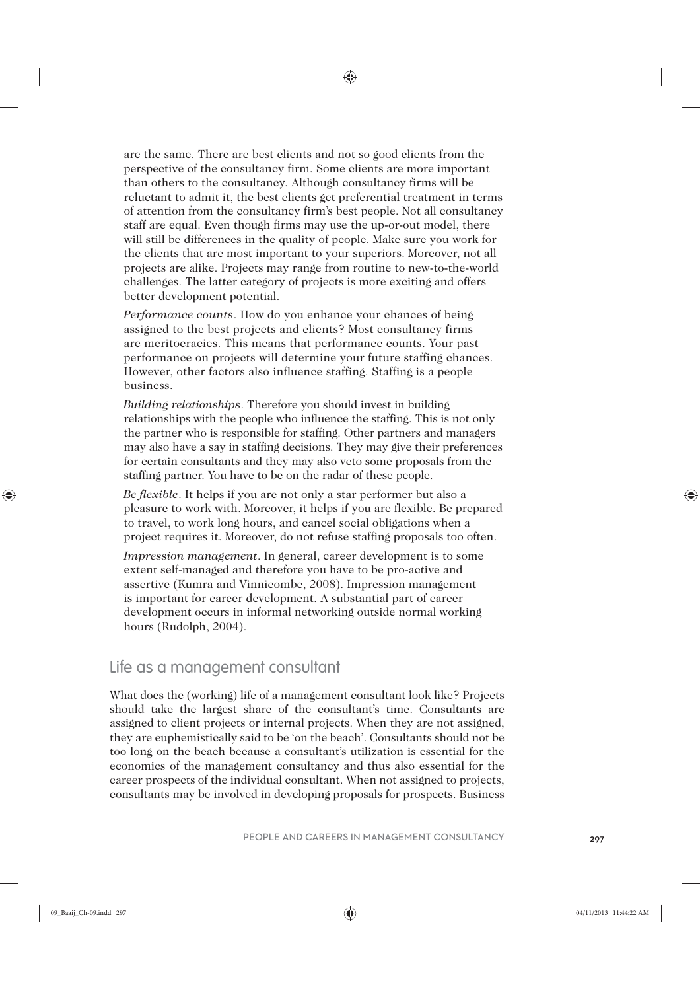are the same. There are best clients and not so good clients from the perspective of the consultancy firm. Some clients are more important than others to the consultancy. Although consultancy firms will be reluctant to admit it, the best clients get preferential treatment in terms of attention from the consultancy firm's best people. Not all consultancy staff are equal. Even though firms may use the up-or-out model, there will still be differences in the quality of people. Make sure you work for the clients that are most important to your superiors. Moreover, not all projects are alike. Projects may range from routine to new-to-the-world challenges. The latter category of projects is more exciting and offers better development potential.

◈

*Performance counts*. How do you enhance your chances of being assigned to the best projects and clients? Most consultancy firms are meritocracies. This means that performance counts. Your past performance on projects will determine your future staffing chances. However, other factors also influence staffing. Staffing is a people business.

*Building relationships*. Therefore you should invest in building relationships with the people who influence the staffing. This is not only the partner who is responsible for staffing. Other partners and managers may also have a say in staffing decisions. They may give their preferences for certain consultants and they may also veto some proposals from the staffing partner. You have to be on the radar of these people.

*Be flexible*. It helps if you are not only a star performer but also a pleasure to work with. Moreover, it helps if you are flexible. Be prepared to travel, to work long hours, and cancel social obligations when a project requires it. Moreover, do not refuse staffing proposals too often.

*Impression management*. In general, career development is to some extent self-managed and therefore you have to be pro-active and assertive (Kumra and Vinnicombe, 2008). Impression management is important for career development. A substantial part of career development occurs in informal networking outside normal working hours (Rudolph, 2004).

#### Life as a management consultant

What does the (working) life of a management consultant look like? Projects should take the largest share of the consultant's time. Consultants are assigned to client projects or internal projects. When they are not assigned, they are euphemistically said to be 'on the beach'. Consultants should not be too long on the beach because a consultant's utilization is essential for the economics of the management consultancy and thus also essential for the career prospects of the individual consultant. When not assigned to projects, consultants may be involved in developing proposals for prospects. Business ♠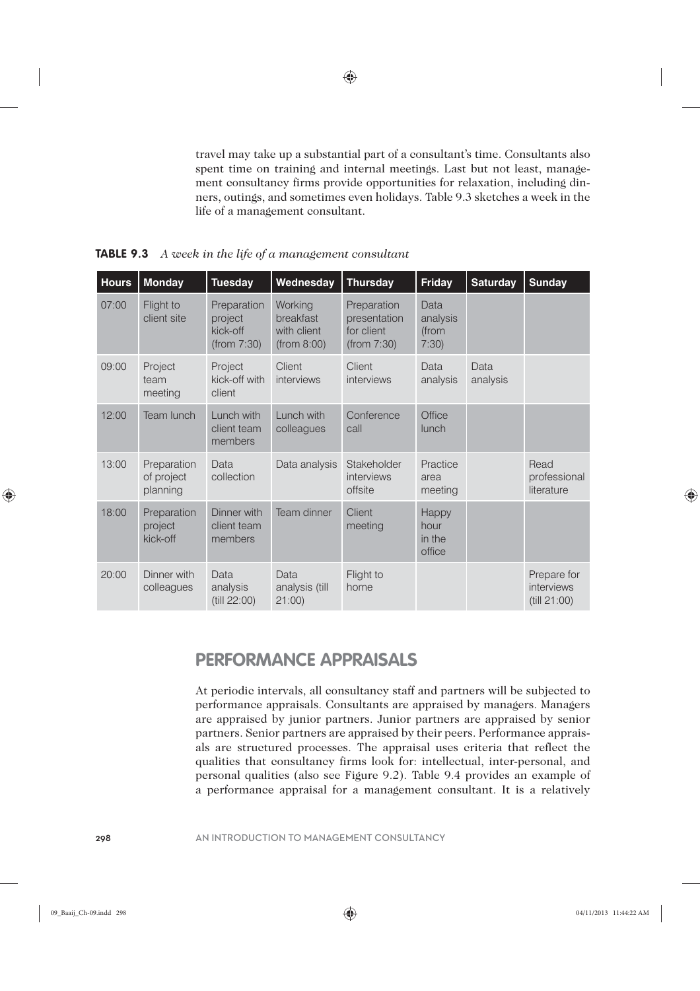travel may take up a substantial part of a consultant's time. Consultants also spent time on training and internal meetings. Last but not least, management consultancy firms provide opportunities for relaxation, including dinners, outings, and sometimes even holidays. Table 9.3 sketches a week in the life of a management consultant.

◈

| <b>Hours</b> | <b>Monday</b>                         | <b>Tuesday</b>                                    | Wednesday                                          | <b>Thursday</b>                                          | <b>Friday</b>                     | <b>Saturday</b>  | <b>Sunday</b>                             |
|--------------|---------------------------------------|---------------------------------------------------|----------------------------------------------------|----------------------------------------------------------|-----------------------------------|------------------|-------------------------------------------|
| 07:00        | Flight to<br>client site              | Preparation<br>project<br>kick-off<br>(from 7:30) | Working<br>breakfast<br>with client<br>(from 8:00) | Preparation<br>presentation<br>for client<br>(from 7:30) | Data<br>analysis<br>(from<br>7:30 |                  |                                           |
| 09:00        | Project<br>team<br>meeting            | Project<br>kick-off with<br>client                | <b>Client</b><br>interviews                        | Client<br>interviews                                     | Data<br>analysis                  | Data<br>analysis |                                           |
| 12:00        | Team lunch                            | Lunch with<br>client team<br>members              | Lunch with<br>colleagues                           | Conference<br>call                                       | Office<br>lunch                   |                  |                                           |
| 13:00        | Preparation<br>of project<br>planning | Data<br>collection                                | Data analysis                                      | Stakeholder<br>interviews<br>offsite                     | Practice<br>area<br>meeting       |                  | Read<br>professional<br>literature        |
| 18:00        | Preparation<br>project<br>kick-off    | Dinner with<br>client team<br>members             | Team dinner                                        | Client<br>meeting                                        | Happy<br>hour<br>in the<br>office |                  |                                           |
| 20:00        | Dinner with<br>colleagues             | Data<br>analysis<br>(till 22:00)                  | Data<br>analysis (till<br>21:00                    | Flight to<br>home                                        |                                   |                  | Prepare for<br>interviews<br>(till 21:00) |

**TABLE 9.3** *A week in the life of a management consultant*

# **PERFORMANCE APPRAISALS**

At periodic intervals, all consultancy staff and partners will be subjected to performance appraisals. Consultants are appraised by managers. Managers are appraised by junior partners. Junior partners are appraised by senior partners. Senior partners are appraised by their peers. Performance appraisals are structured processes. The appraisal uses criteria that reflect the qualities that consultancy firms look for: intellectual, inter-personal, and personal qualities (also see Figure 9.2). Table 9.4 provides an example of a performance appraisal for a management consultant. It is a relatively

298 AN INTRODUCTION TO MANAGEMENT CONSULTANCY

♠

◈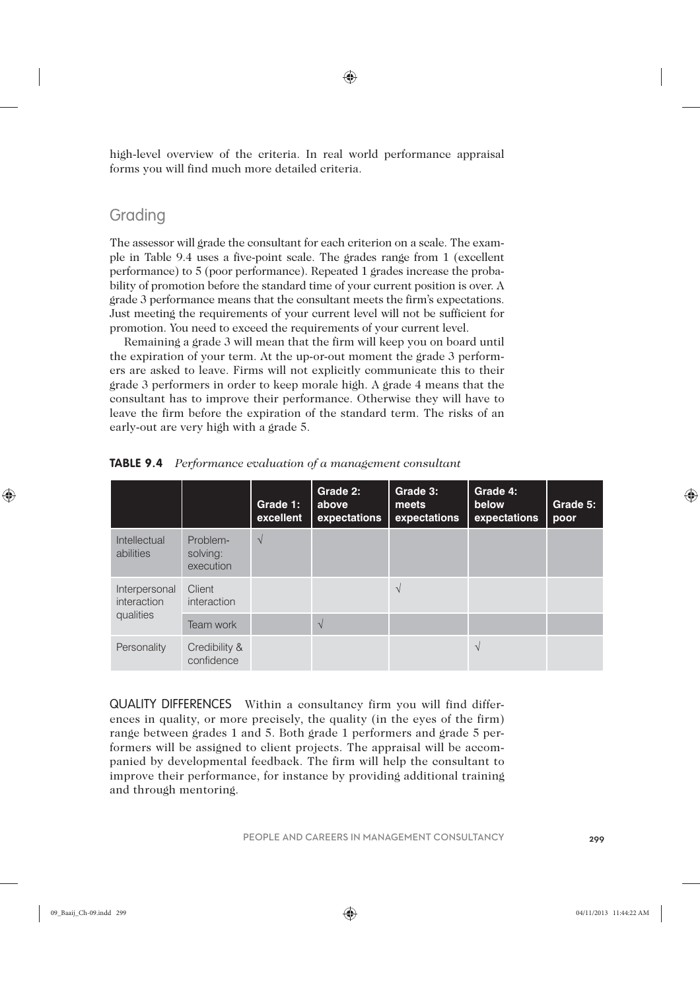high-level overview of the criteria. In real world performance appraisal forms you will find much more detailed criteria.

◈

# Grading

The assessor will grade the consultant for each criterion on a scale. The example in Table 9.4 uses a five-point scale. The grades range from 1 (excellent performance) to 5 (poor performance). Repeated 1 grades increase the probability of promotion before the standard time of your current position is over. A grade 3 performance means that the consultant meets the firm's expectations. Just meeting the requirements of your current level will not be sufficient for promotion. You need to exceed the requirements of your current level.

Remaining a grade 3 will mean that the firm will keep you on board until the expiration of your term. At the up-or-out moment the grade 3 performers are asked to leave. Firms will not explicitly communicate this to their grade 3 performers in order to keep morale high. A grade 4 means that the consultant has to improve their performance. Otherwise they will have to leave the firm before the expiration of the standard term. The risks of an early-out are very high with a grade 5.

|                                           |                                   | Grade 1:<br>excellent | Grade 2:<br>above<br>expectations | Grade 3:<br>meets<br>expectations | Grade 4:<br>below<br>expectations | Grade 5:<br>poor |
|-------------------------------------------|-----------------------------------|-----------------------|-----------------------------------|-----------------------------------|-----------------------------------|------------------|
| Intellectual<br>abilities                 | Problem-<br>solving:<br>execution | $\sqrt{ }$            |                                   |                                   |                                   |                  |
| Interpersonal<br>interaction<br>qualities | Client<br>interaction             |                       |                                   | $\sqrt{ }$                        |                                   |                  |
|                                           | Team work                         |                       | $\sqrt{ }$                        |                                   |                                   |                  |
| Personality                               | Credibility &<br>confidence       |                       |                                   |                                   | $\sqrt{ }$                        |                  |

|  | <b>TABLE 9.4</b> Performance evaluation of a management consultant |  |  |  |
|--|--------------------------------------------------------------------|--|--|--|
|--|--------------------------------------------------------------------|--|--|--|

QUALITY DIFFERENCES Within a consultancy firm you will find differences in quality, or more precisely, the quality (in the eyes of the firm) range between grades 1 and 5. Both grade 1 performers and grade 5 performers will be assigned to client projects. The appraisal will be accompanied by developmental feedback. The firm will help the consultant to improve their performance, for instance by providing additional training and through mentoring.

♠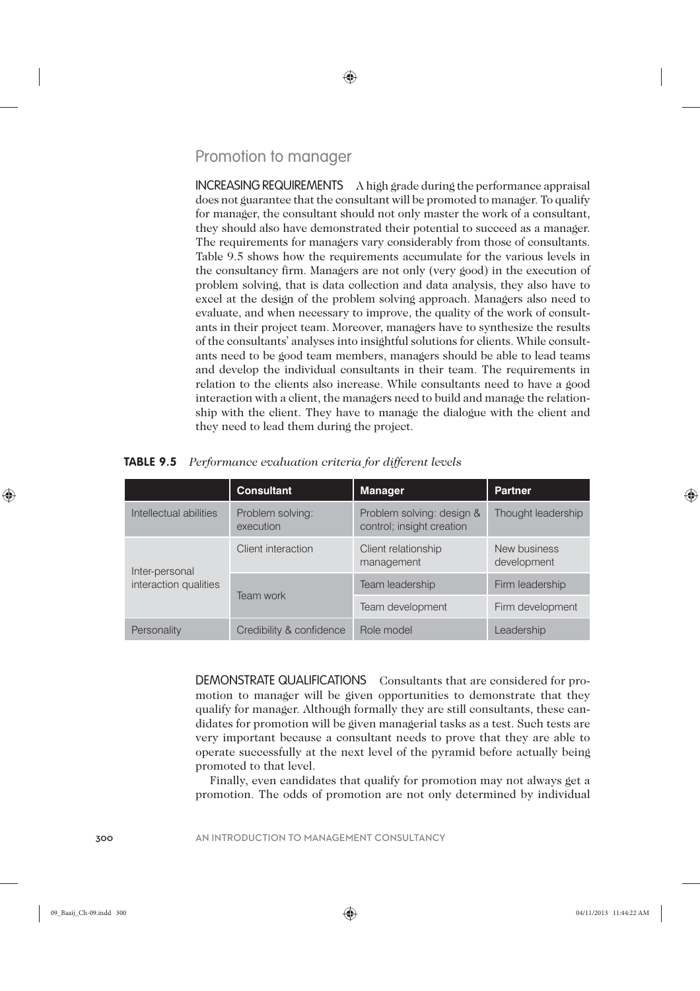#### Promotion to manager

INCREASING REQUIREMENTS A high grade during the performance appraisal does not guarantee that the consultant will be promoted to manager. To qualify for manager, the consultant should not only master the work of a consultant, they should also have demonstrated their potential to succeed as a manager. The requirements for managers vary considerably from those of consultants. Table 9.5 shows how the requirements accumulate for the various levels in the consultancy firm. Managers are not only (very good) in the execution of problem solving, that is data collection and data analysis, they also have to excel at the design of the problem solving approach. Managers also need to evaluate, and when necessary to improve, the quality of the work of consultants in their project team. Moreover, managers have to synthesize the results of the consultants' analyses into insightful solutions for clients. While consultants need to be good team members, managers should be able to lead teams and develop the individual consultants in their team. The requirements in relation to the clients also increase. While consultants need to have a good interaction with a client, the managers need to build and manage the relationship with the client. They have to manage the dialogue with the client and they need to lead them during the project.

◈

|                        | <b>Consultant</b>             | <b>Manager</b>                                         | <b>Partner</b>              |
|------------------------|-------------------------------|--------------------------------------------------------|-----------------------------|
| Intellectual abilities | Problem solving:<br>execution | Problem solving: design &<br>control; insight creation | Thought leadership          |
| Inter-personal         | Client interaction            | Client relationship<br>management                      | New business<br>development |
| interaction qualities  | Team work                     | Team leadership                                        | Firm leadership             |
|                        |                               | Team development                                       | Firm development            |
| Personality            | Credibility & confidence      | Role model                                             | Leadership                  |

**TABLE 9.5** *Performance evaluation criteria for different levels*

DEMONSTRATE QUALIFICATIONS Consultants that are considered for promotion to manager will be given opportunities to demonstrate that they qualify for manager. Although formally they are still consultants, these candidates for promotion will be given managerial tasks as a test. Such tests are very important because a consultant needs to prove that they are able to operate successfully at the next level of the pyramid before actually being promoted to that level.

Finally, even candidates that qualify for promotion may not always get a promotion. The odds of promotion are not only determined by individual

**300 AN INTRODUCTION TO MANAGEMENT CONSULTANCY** 

♠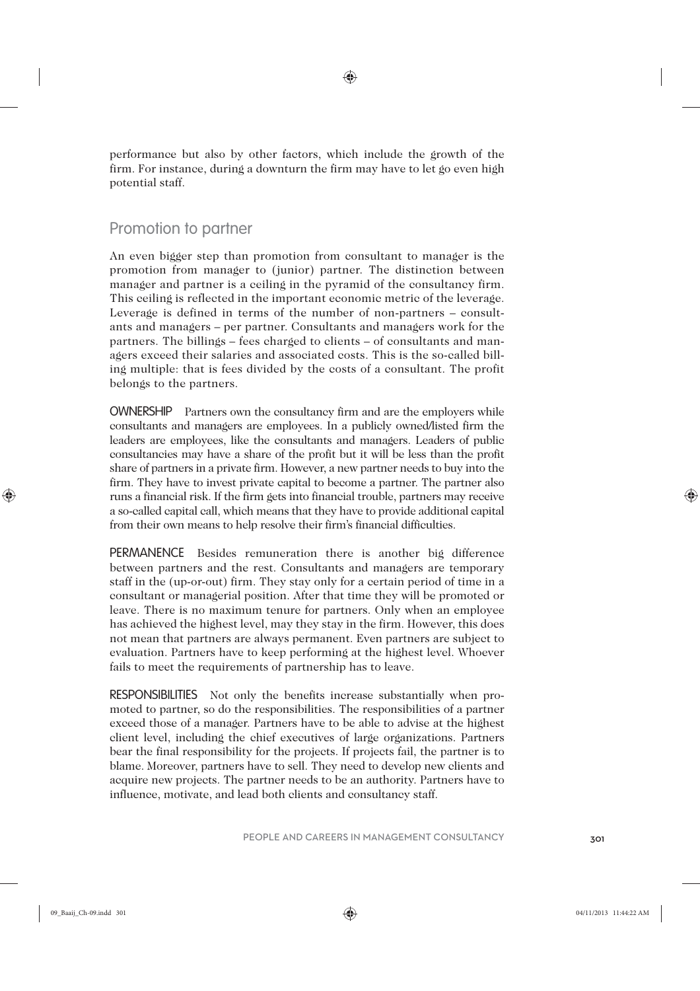performance but also by other factors, which include the growth of the firm. For instance, during a downturn the firm may have to let go even high potential staff.

#### Promotion to partner

An even bigger step than promotion from consultant to manager is the promotion from manager to (junior) partner. The distinction between manager and partner is a ceiling in the pyramid of the consultancy firm. This ceiling is reflected in the important economic metric of the leverage. Leverage is defined in terms of the number of non-partners – consultants and managers – per partner. Consultants and managers work for the partners. The billings – fees charged to clients – of consultants and managers exceed their salaries and associated costs. This is the so-called billing multiple: that is fees divided by the costs of a consultant. The profit belongs to the partners.

OWNERSHIP Partners own the consultancy firm and are the employers while consultants and managers are employees. In a publicly owned/listed firm the leaders are employees, like the consultants and managers. Leaders of public consultancies may have a share of the profit but it will be less than the profit share of partners in a private firm. However, a new partner needs to buy into the firm. They have to invest private capital to become a partner. The partner also runs a financial risk. If the firm gets into financial trouble, partners may receive a so-called capital call, which means that they have to provide additional capital from their own means to help resolve their firm's financial difficulties.

PERMANENCE Besides remuneration there is another big difference between partners and the rest. Consultants and managers are temporary staff in the (up-or-out) firm. They stay only for a certain period of time in a consultant or managerial position. After that time they will be promoted or leave. There is no maximum tenure for partners. Only when an employee has achieved the highest level, may they stay in the firm. However, this does not mean that partners are always permanent. Even partners are subject to evaluation. Partners have to keep performing at the highest level. Whoever fails to meet the requirements of partnership has to leave.

RESPONSIBILITIES Not only the benefits increase substantially when promoted to partner, so do the responsibilities. The responsibilities of a partner exceed those of a manager. Partners have to be able to advise at the highest client level, including the chief executives of large organizations. Partners bear the final responsibility for the projects. If projects fail, the partner is to blame. Moreover, partners have to sell. They need to develop new clients and acquire new projects. The partner needs to be an authority. Partners have to influence, motivate, and lead both clients and consultancy staff.

♠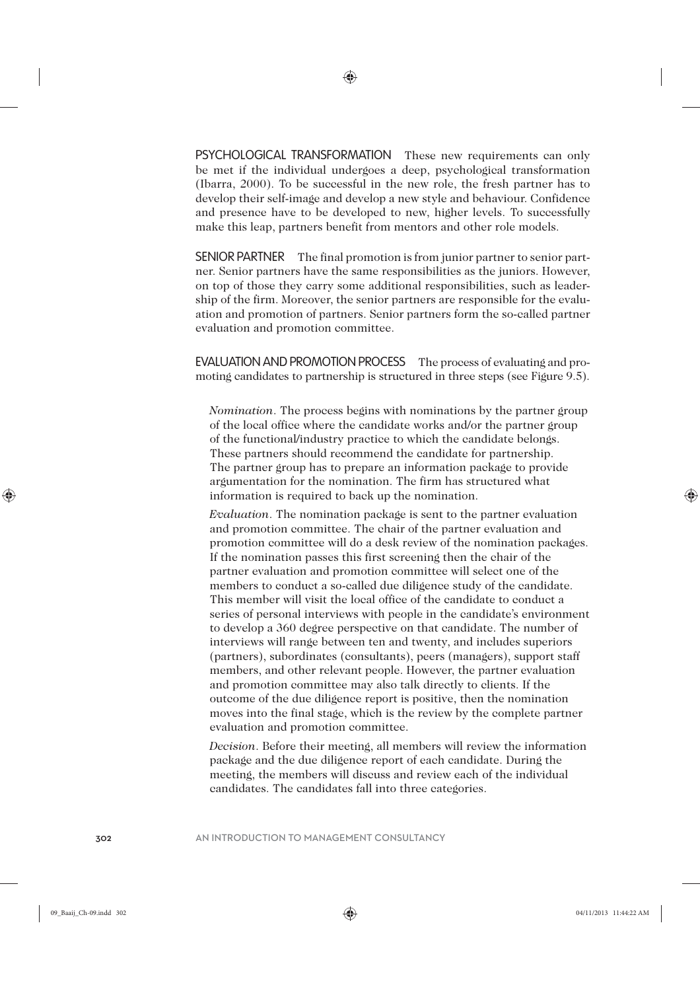PSYCHOLOGICAL TRANSFORMATION These new requirements can only be met if the individual undergoes a deep, psychological transformation (Ibarra, 2000). To be successful in the new role, the fresh partner has to develop their self-image and develop a new style and behaviour. Confidence and presence have to be developed to new, higher levels. To successfully make this leap, partners benefit from mentors and other role models.

◈

SENIOR PARTNER The final promotion is from junior partner to senior partner. Senior partners have the same responsibilities as the juniors. However, on top of those they carry some additional responsibilities, such as leadership of the firm. Moreover, the senior partners are responsible for the evaluation and promotion of partners. Senior partners form the so-called partner evaluation and promotion committee.

EVALUATION AND PROMOTION PROCESS The process of evaluating and promoting candidates to partnership is structured in three steps (see Figure 9.5).

*Nomination*. The process begins with nominations by the partner group of the local office where the candidate works and/or the partner group of the functional/industry practice to which the candidate belongs. These partners should recommend the candidate for partnership. The partner group has to prepare an information package to provide argumentation for the nomination. The firm has structured what information is required to back up the nomination.

*Evaluation*. The nomination package is sent to the partner evaluation and promotion committee. The chair of the partner evaluation and promotion committee will do a desk review of the nomination packages. If the nomination passes this first screening then the chair of the partner evaluation and promotion committee will select one of the members to conduct a so-called due diligence study of the candidate. This member will visit the local office of the candidate to conduct a series of personal interviews with people in the candidate's environment to develop a 360 degree perspective on that candidate. The number of interviews will range between ten and twenty, and includes superiors (partners), subordinates (consultants), peers (managers), support staff members, and other relevant people. However, the partner evaluation and promotion committee may also talk directly to clients. If the outcome of the due diligence report is positive, then the nomination moves into the final stage, which is the review by the complete partner evaluation and promotion committee.

*Decision*. Before their meeting, all members will review the information package and the due diligence report of each candidate. During the meeting, the members will discuss and review each of the individual candidates. The candidates fall into three categories.

302 AN INTRODUCTION TO MANAGEMENT CONSULTANCY

♠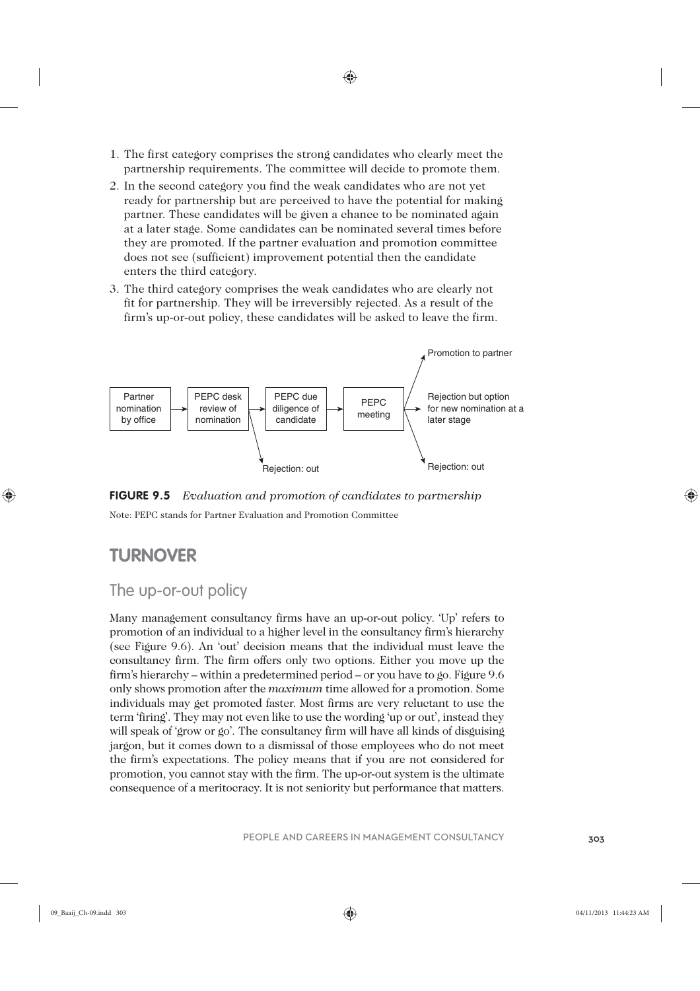1. The first category comprises the strong candidates who clearly meet the partnership requirements. The committee will decide to promote them.

◈

- 2. In the second category you find the weak candidates who are not yet ready for partnership but are perceived to have the potential for making partner. These candidates will be given a chance to be nominated again at a later stage. Some candidates can be nominated several times before they are promoted. If the partner evaluation and promotion committee does not see (sufficient) improvement potential then the candidate enters the third category.
- 3. The third category comprises the weak candidates who are clearly not fit for partnership. They will be irreversibly rejected. As a result of the firm's up-or-out policy, these candidates will be asked to leave the firm.



**FIGURE 9.5** *Evaluation and promotion of candidates to partnership* Note: PEPC stands for Partner Evaluation and Promotion Committee

# **TURNOVER**

♠

# The up-or-out policy

Many management consultancy firms have an up-or-out policy. 'Up' refers to promotion of an individual to a higher level in the consultancy firm's hierarchy (see Figure 9.6). An 'out' decision means that the individual must leave the consultancy firm. The firm offers only two options. Either you move up the firm's hierarchy – within a predetermined period – or you have to go. Figure 9.6 only shows promotion after the *maximum* time allowed for a promotion. Some individuals may get promoted faster. Most firms are very reluctant to use the term 'firing'. They may not even like to use the wording 'up or out', instead they will speak of 'grow or go'. The consultancy firm will have all kinds of disguising jargon, but it comes down to a dismissal of those employees who do not meet the firm's expectations. The policy means that if you are not considered for promotion, you cannot stay with the firm. The up-or-out system is the ultimate consequence of a meritocracy. It is not seniority but performance that matters.

PEOPLE AND CAREERS IN MANAGEMENT CONSULTANCY 303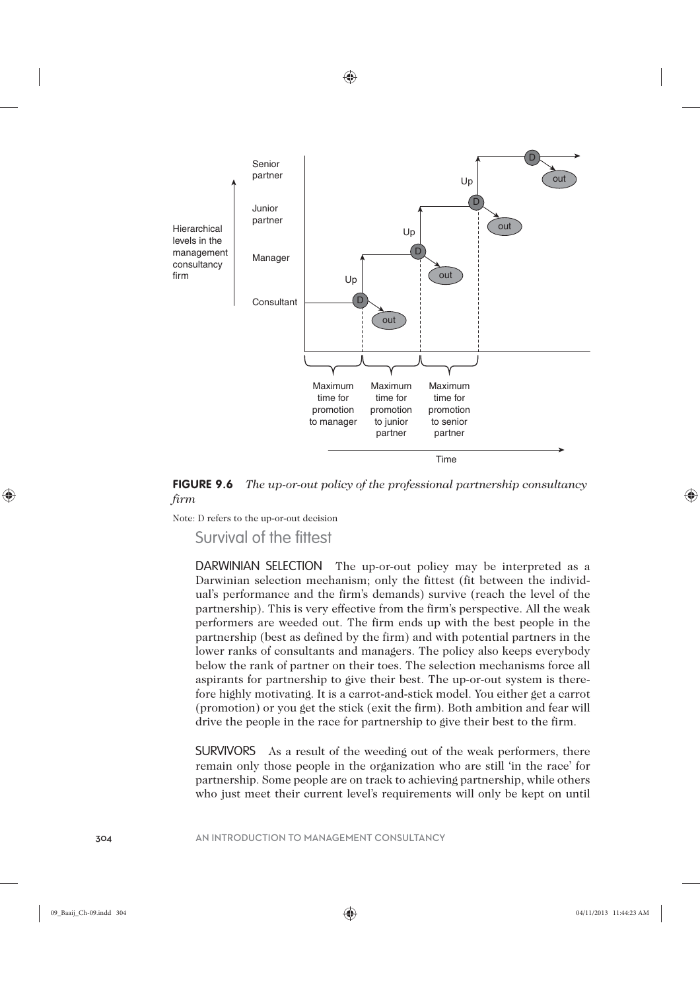

◈

**FIGURE 9.6** *The up-or-out policy of the professional partnership consultancy firm* 

Note: D refers to the up-or-out decision

Survival of the fittest

DARWINIAN SELECTION The up-or-out policy may be interpreted as a Darwinian selection mechanism; only the fittest (fit between the individual's performance and the firm's demands) survive (reach the level of the partnership). This is very effective from the firm's perspective. All the weak performers are weeded out. The firm ends up with the best people in the partnership (best as defined by the firm) and with potential partners in the lower ranks of consultants and managers. The policy also keeps everybody below the rank of partner on their toes. The selection mechanisms force all aspirants for partnership to give their best. The up-or-out system is therefore highly motivating. It is a carrot-and-stick model. You either get a carrot (promotion) or you get the stick (exit the firm). Both ambition and fear will drive the people in the race for partnership to give their best to the firm.

SURVIVORS As a result of the weeding out of the weak performers, there remain only those people in the organization who are still 'in the race' for partnership. Some people are on track to achieving partnership, while others who just meet their current level's requirements will only be kept on until

304 AN INTRODUCTION TO MANAGEMENT CONSULTANCY

⊕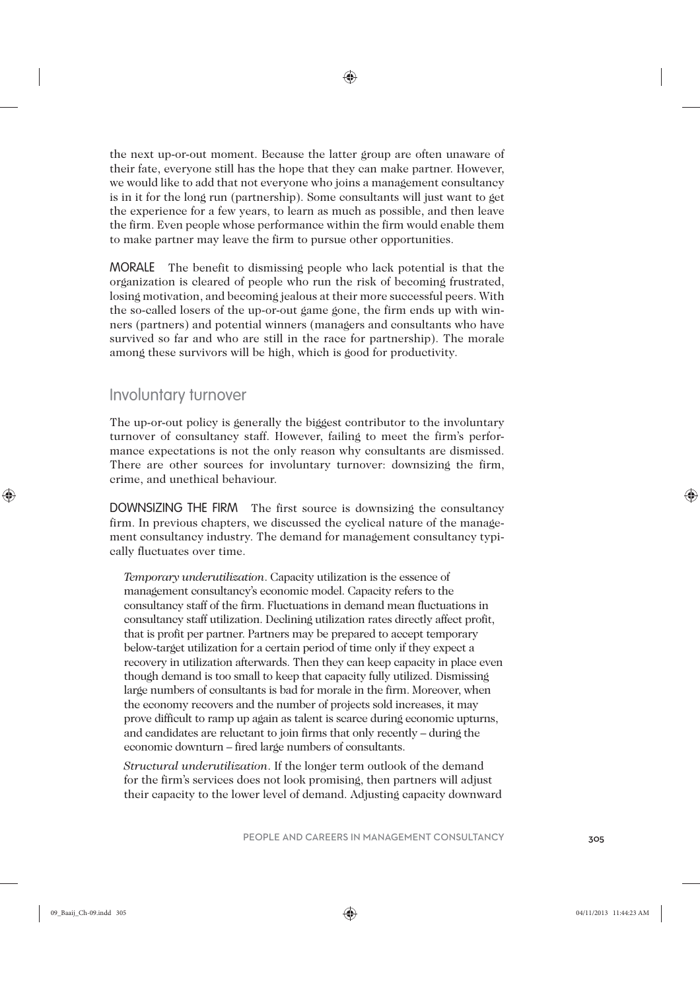the next up-or-out moment. Because the latter group are often unaware of their fate, everyone still has the hope that they can make partner. However, we would like to add that not everyone who joins a management consultancy is in it for the long run (partnership). Some consultants will just want to get the experience for a few years, to learn as much as possible, and then leave the firm. Even people whose performance within the firm would enable them to make partner may leave the firm to pursue other opportunities.

◈

MORALE The benefit to dismissing people who lack potential is that the organization is cleared of people who run the risk of becoming frustrated, losing motivation, and becoming jealous at their more successful peers. With the so-called losers of the up-or-out game gone, the firm ends up with winners (partners) and potential winners (managers and consultants who have survived so far and who are still in the race for partnership). The morale among these survivors will be high, which is good for productivity.

#### Involuntary turnover

The up-or-out policy is generally the biggest contributor to the involuntary turnover of consultancy staff. However, failing to meet the firm's performance expectations is not the only reason why consultants are dismissed. There are other sources for involuntary turnover: downsizing the firm, crime, and unethical behaviour.

DOWNSIZING THE FIRM The first source is downsizing the consultancy firm. In previous chapters, we discussed the cyclical nature of the management consultancy industry. The demand for management consultancy typically fluctuates over time.

*Temporary underutilization*. Capacity utilization is the essence of management consultancy's economic model. Capacity refers to the consultancy staff of the firm. Fluctuations in demand mean fluctuations in consultancy staff utilization. Declining utilization rates directly affect profit, that is profit per partner. Partners may be prepared to accept temporary below-target utilization for a certain period of time only if they expect a recovery in utilization afterwards. Then they can keep capacity in place even though demand is too small to keep that capacity fully utilized. Dismissing large numbers of consultants is bad for morale in the firm. Moreover, when the economy recovers and the number of projects sold increases, it may prove difficult to ramp up again as talent is scarce during economic upturns, and candidates are reluctant to join firms that only recently – during the economic downturn – fired large numbers of consultants.

*Structural underutilization*. If the longer term outlook of the demand for the firm's services does not look promising, then partners will adjust their capacity to the lower level of demand. Adjusting capacity downward

♠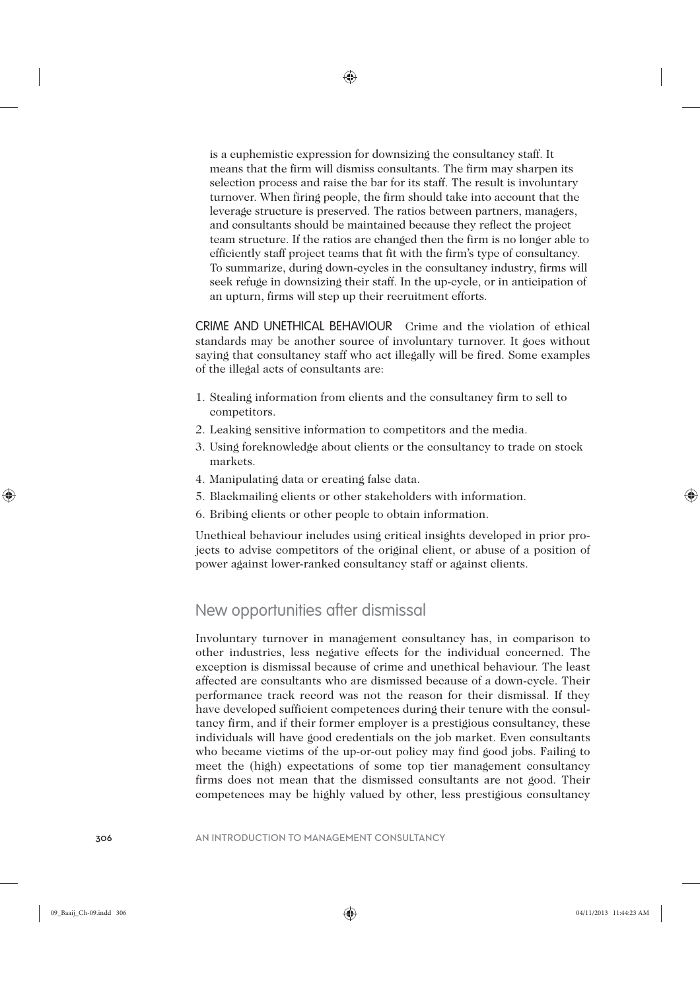is a euphemistic expression for downsizing the consultancy staff. It means that the firm will dismiss consultants. The firm may sharpen its selection process and raise the bar for its staff. The result is involuntary turnover. When firing people, the firm should take into account that the leverage structure is preserved. The ratios between partners, managers, and consultants should be maintained because they reflect the project team structure. If the ratios are changed then the firm is no longer able to efficiently staff project teams that fit with the firm's type of consultancy. To summarize, during down-cycles in the consultancy industry, firms will seek refuge in downsizing their staff. In the up-cycle, or in anticipation of an upturn, firms will step up their recruitment efforts.

◈

CRIME AND UNETHICAL BEHAVIOUR Crime and the violation of ethical standards may be another source of involuntary turnover. It goes without saying that consultancy staff who act illegally will be fired. Some examples of the illegal acts of consultants are:

- 1. Stealing information from clients and the consultancy firm to sell to competitors.
- 2. Leaking sensitive information to competitors and the media.
- 3. Using foreknowledge about clients or the consultancy to trade on stock markets.
- 4. Manipulating data or creating false data.
- 5. Blackmailing clients or other stakeholders with information.
- 6. Bribing clients or other people to obtain information.

Unethical behaviour includes using critical insights developed in prior projects to advise competitors of the original client, or abuse of a position of power against lower-ranked consultancy staff or against clients.

# New opportunities after dismissal

Involuntary turnover in management consultancy has, in comparison to other industries, less negative effects for the individual concerned. The exception is dismissal because of crime and unethical behaviour. The least affected are consultants who are dismissed because of a down-cycle. Their performance track record was not the reason for their dismissal. If they have developed sufficient competences during their tenure with the consultancy firm, and if their former employer is a prestigious consultancy, these individuals will have good credentials on the job market. Even consultants who became victims of the up-or-out policy may find good jobs. Failing to meet the (high) expectations of some top tier management consultancy firms does not mean that the dismissed consultants are not good. Their competences may be highly valued by other, less prestigious consultancy

**306 AN INTRODUCTION TO MANAGEMENT CONSULTANCY** 

♠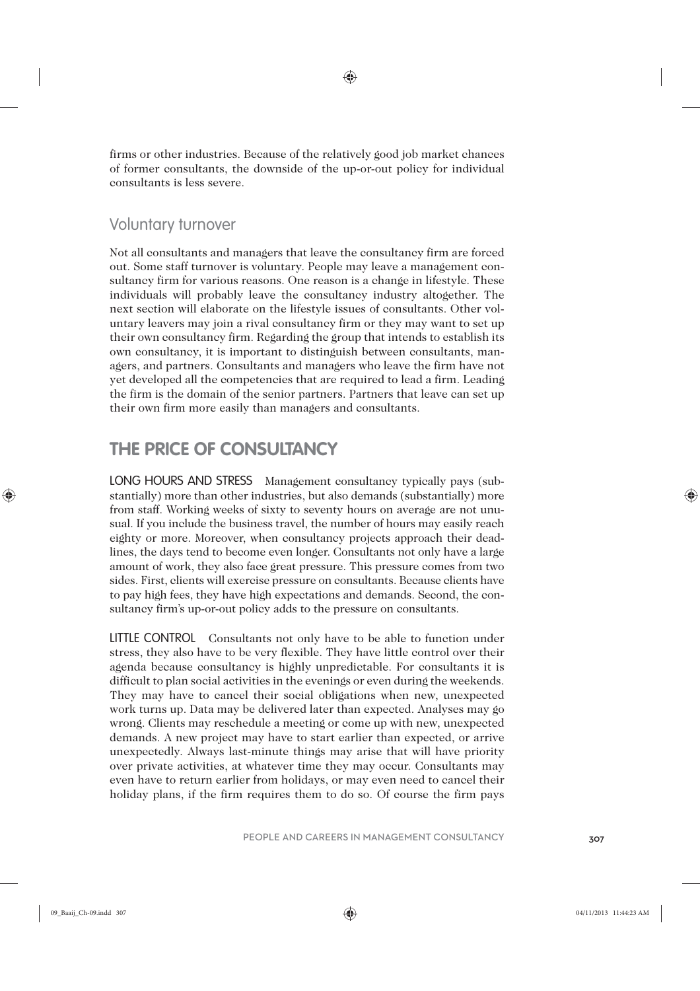firms or other industries. Because of the relatively good job market chances of former consultants, the downside of the up-or-out policy for individual consultants is less severe.

◈

# Voluntary turnover

Not all consultants and managers that leave the consultancy firm are forced out. Some staff turnover is voluntary. People may leave a management consultancy firm for various reasons. One reason is a change in lifestyle. These individuals will probably leave the consultancy industry altogether. The next section will elaborate on the lifestyle issues of consultants. Other voluntary leavers may join a rival consultancy firm or they may want to set up their own consultancy firm. Regarding the group that intends to establish its own consultancy, it is important to distinguish between consultants, managers, and partners. Consultants and managers who leave the firm have not yet developed all the competencies that are required to lead a firm. Leading the firm is the domain of the senior partners. Partners that leave can set up their own firm more easily than managers and consultants.

# **THE PRICE OF CONSULTANCY**

LONG HOURS AND STRESS Management consultancy typically pays (substantially) more than other industries, but also demands (substantially) more from staff. Working weeks of sixty to seventy hours on average are not unusual. If you include the business travel, the number of hours may easily reach eighty or more. Moreover, when consultancy projects approach their deadlines, the days tend to become even longer. Consultants not only have a large amount of work, they also face great pressure. This pressure comes from two sides. First, clients will exercise pressure on consultants. Because clients have to pay high fees, they have high expectations and demands. Second, the consultancy firm's up-or-out policy adds to the pressure on consultants.

LITTLE CONTROL Consultants not only have to be able to function under stress, they also have to be very flexible. They have little control over their agenda because consultancy is highly unpredictable. For consultants it is difficult to plan social activities in the evenings or even during the weekends. They may have to cancel their social obligations when new, unexpected work turns up. Data may be delivered later than expected. Analyses may go wrong. Clients may reschedule a meeting or come up with new, unexpected demands. A new project may have to start earlier than expected, or arrive unexpectedly. Always last-minute things may arise that will have priority over private activities, at whatever time they may occur. Consultants may even have to return earlier from holidays, or may even need to cancel their holiday plans, if the firm requires them to do so. Of course the firm pays

PEOPLE AND CAREERS IN MANAGEMENT CONSULTANCY 307

♠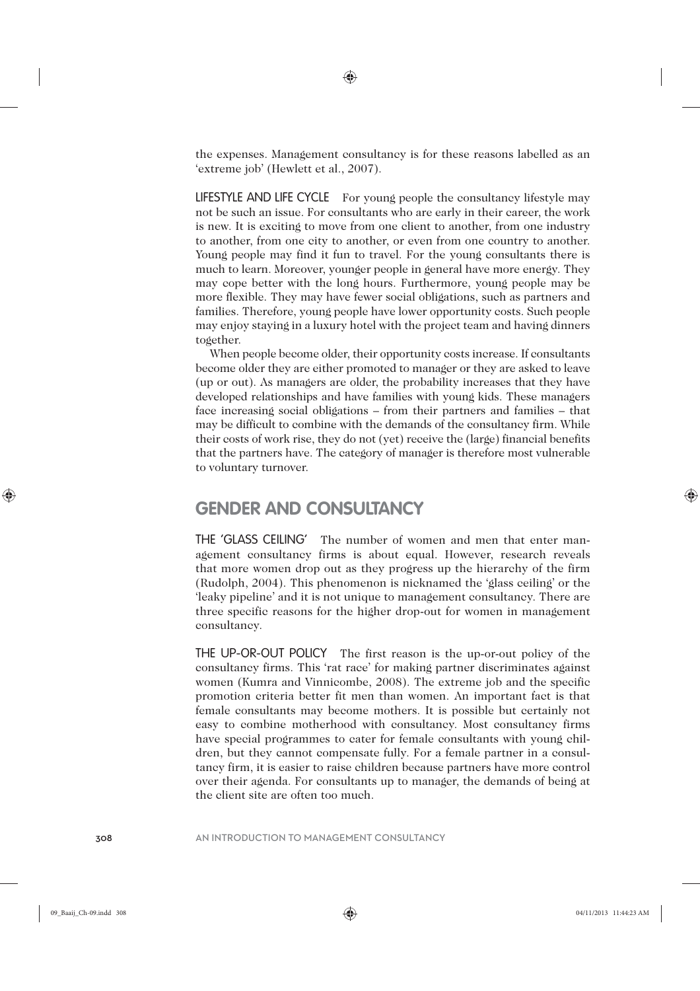the expenses. Management consultancy is for these reasons labelled as an 'extreme job' (Hewlett et al., 2007).

◈

LIFESTYLE AND LIFE CYCLE For young people the consultancy lifestyle may not be such an issue. For consultants who are early in their career, the work is new. It is exciting to move from one client to another, from one industry to another, from one city to another, or even from one country to another. Young people may find it fun to travel. For the young consultants there is much to learn. Moreover, younger people in general have more energy. They may cope better with the long hours. Furthermore, young people may be more flexible. They may have fewer social obligations, such as partners and families. Therefore, young people have lower opportunity costs. Such people may enjoy staying in a luxury hotel with the project team and having dinners together.

When people become older, their opportunity costs increase. If consultants become older they are either promoted to manager or they are asked to leave (up or out). As managers are older, the probability increases that they have developed relationships and have families with young kids. These managers face increasing social obligations – from their partners and families – that may be difficult to combine with the demands of the consultancy firm. While their costs of work rise, they do not (yet) receive the (large) financial benefits that the partners have. The category of manager is therefore most vulnerable to voluntary turnover.

# **GENDER AND CONSULTANCY**

THE 'GLASS CEILING' The number of women and men that enter management consultancy firms is about equal. However, research reveals that more women drop out as they progress up the hierarchy of the firm (Rudolph, 2004). This phenomenon is nicknamed the 'glass ceiling' or the 'leaky pipeline' and it is not unique to management consultancy. There are three specific reasons for the higher drop-out for women in management consultancy.

THE UP-OR-OUT POLICY The first reason is the up-or-out policy of the consultancy firms. This 'rat race' for making partner discriminates against women (Kumra and Vinnicombe, 2008). The extreme job and the specific promotion criteria better fit men than women. An important fact is that female consultants may become mothers. It is possible but certainly not easy to combine motherhood with consultancy. Most consultancy firms have special programmes to cater for female consultants with young children, but they cannot compensate fully. For a female partner in a consultancy firm, it is easier to raise children because partners have more control over their agenda. For consultants up to manager, the demands of being at the client site are often too much.

**308** AN INTRODUCTION TO MANAGEMENT CONSULTANCY

♠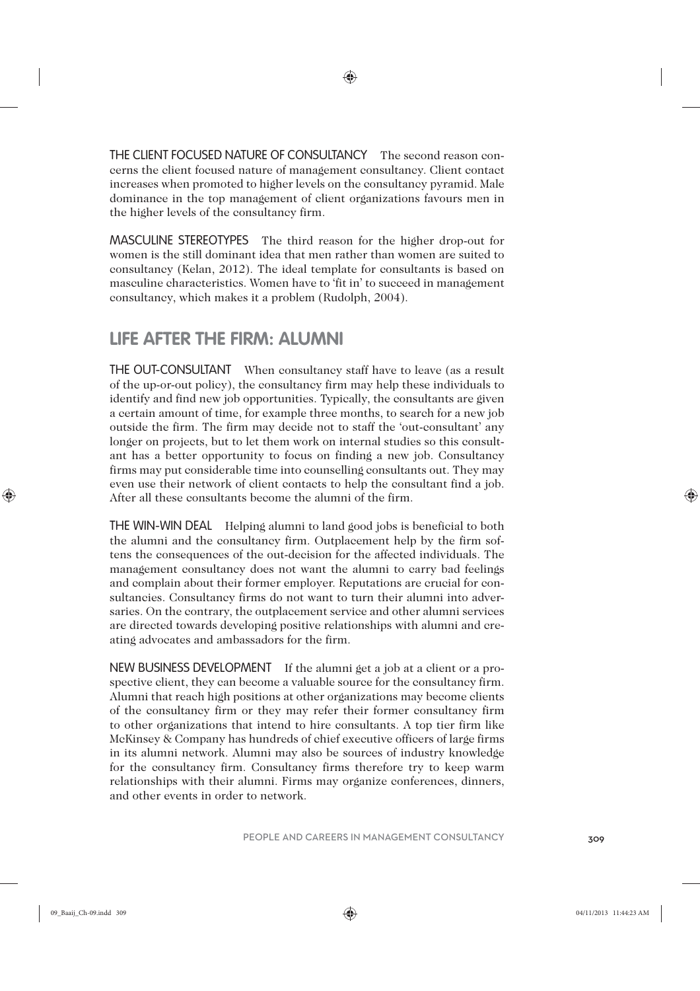THE CLIENT FOCUSED NATURE OF CONSULTANCY The second reason concerns the client focused nature of management consultancy. Client contact increases when promoted to higher levels on the consultancy pyramid. Male dominance in the top management of client organizations favours men in the higher levels of the consultancy firm.

◈

MASCULINE STEREOTYPES The third reason for the higher drop-out for women is the still dominant idea that men rather than women are suited to consultancy (Kelan, 2012). The ideal template for consultants is based on masculine characteristics. Women have to 'fit in' to succeed in management consultancy, which makes it a problem (Rudolph, 2004).

# **LIFE AFTER THE FIRM: ALUMNI**

THE OUT-CONSULTANT When consultancy staff have to leave (as a result of the up-or-out policy), the consultancy firm may help these individuals to identify and find new job opportunities. Typically, the consultants are given a certain amount of time, for example three months, to search for a new job outside the firm. The firm may decide not to staff the 'out-consultant' any longer on projects, but to let them work on internal studies so this consultant has a better opportunity to focus on finding a new job. Consultancy firms may put considerable time into counselling consultants out. They may even use their network of client contacts to help the consultant find a job. After all these consultants become the alumni of the firm.

THE WIN-WIN DEAL Helping alumni to land good jobs is beneficial to both the alumni and the consultancy firm. Outplacement help by the firm softens the consequences of the out-decision for the affected individuals. The management consultancy does not want the alumni to carry bad feelings and complain about their former employer. Reputations are crucial for consultancies. Consultancy firms do not want to turn their alumni into adversaries. On the contrary, the outplacement service and other alumni services are directed towards developing positive relationships with alumni and creating advocates and ambassadors for the firm.

NEW BUSINESS DEVELOPMENT If the alumni get a job at a client or a prospective client, they can become a valuable source for the consultancy firm. Alumni that reach high positions at other organizations may become clients of the consultancy firm or they may refer their former consultancy firm to other organizations that intend to hire consultants. A top tier firm like McKinsey & Company has hundreds of chief executive officers of large firms in its alumni network. Alumni may also be sources of industry knowledge for the consultancy firm. Consultancy firms therefore try to keep warm relationships with their alumni. Firms may organize conferences, dinners, and other events in order to network.

PEOPLE AND CAREERS IN MANAGEMENT CONSULTANCY 309

♠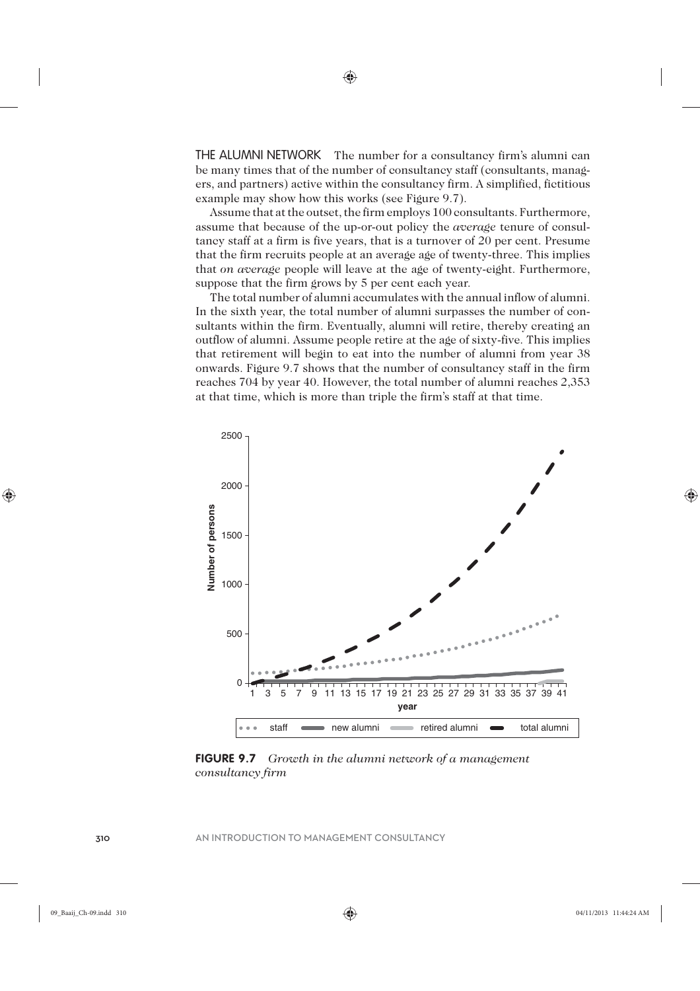THE ALUMNI NETWORK The number for a consultancy firm's alumni can be many times that of the number of consultancy staff (consultants, managers, and partners) active within the consultancy firm. A simplified, fictitious example may show how this works (see Figure 9.7).

◈

Assume that at the outset, the firm employs 100 consultants. Furthermore, assume that because of the up-or-out policy the *average* tenure of consultancy staff at a firm is five years, that is a turnover of 20 per cent. Presume that the firm recruits people at an average age of twenty-three. This implies that *on average* people will leave at the age of twenty-eight. Furthermore, suppose that the firm grows by 5 per cent each year.

The total number of alumni accumulates with the annual inflow of alumni. In the sixth year, the total number of alumni surpasses the number of consultants within the firm. Eventually, alumni will retire, thereby creating an outflow of alumni. Assume people retire at the age of sixty-five. This implies that retirement will begin to eat into the number of alumni from year 38 onwards. Figure 9.7 shows that the number of consultancy staff in the firm reaches 704 by year 40. However, the total number of alumni reaches 2,353 at that time, which is more than triple the firm's staff at that time.



**FIGURE 9.7** *Growth in the alumni network of a management consultancy firm* 

**310 AN INTRODUCTION TO MANAGEMENT CONSULTANCY** 

 $\bigoplus$ 

◈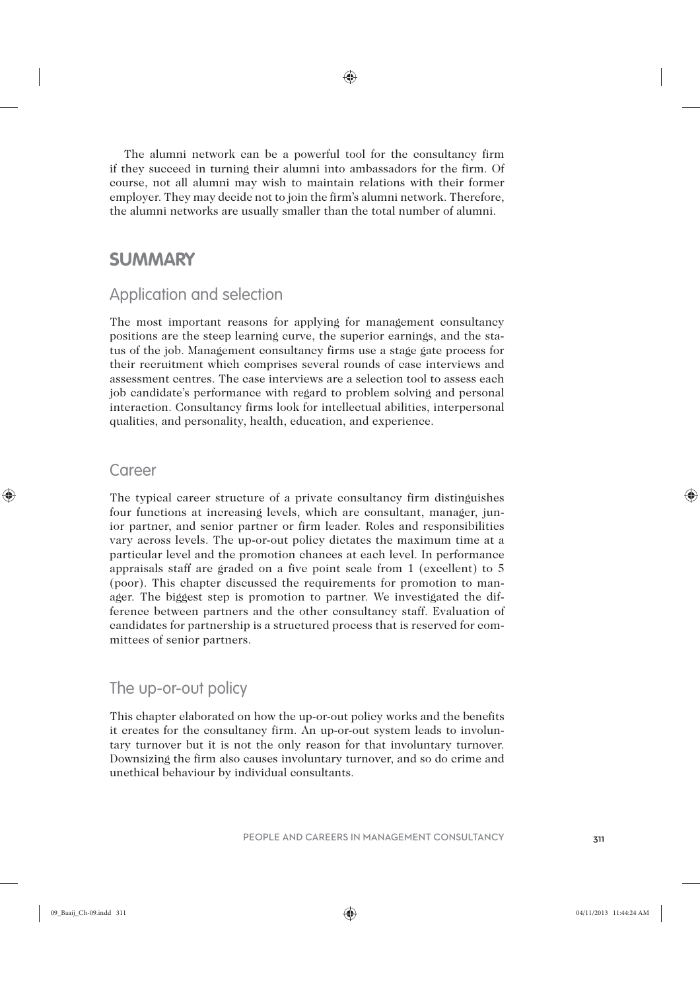The alumni network can be a powerful tool for the consultancy firm if they succeed in turning their alumni into ambassadors for the firm. Of course, not all alumni may wish to maintain relations with their former employer. They may decide not to join the firm's alumni network. Therefore, the alumni networks are usually smaller than the total number of alumni.

◈

# **SUMMARY**

# Application and selection

The most important reasons for applying for management consultancy positions are the steep learning curve, the superior earnings, and the status of the job. Management consultancy firms use a stage gate process for their recruitment which comprises several rounds of case interviews and assessment centres. The case interviews are a selection tool to assess each job candidate's performance with regard to problem solving and personal interaction. Consultancy firms look for intellectual abilities, interpersonal qualities, and personality, health, education, and experience.

#### Career

♠

The typical career structure of a private consultancy firm distinguishes four functions at increasing levels, which are consultant, manager, junior partner, and senior partner or firm leader. Roles and responsibilities vary across levels. The up-or-out policy dictates the maximum time at a particular level and the promotion chances at each level. In performance appraisals staff are graded on a five point scale from 1 (excellent) to 5 (poor). This chapter discussed the requirements for promotion to manager. The biggest step is promotion to partner. We investigated the difference between partners and the other consultancy staff. Evaluation of candidates for partnership is a structured process that is reserved for committees of senior partners.

#### The up-or-out policy

This chapter elaborated on how the up-or-out policy works and the benefits it creates for the consultancy firm. An up-or-out system leads to involuntary turnover but it is not the only reason for that involuntary turnover. Downsizing the firm also causes involuntary turnover, and so do crime and unethical behaviour by individual consultants.

PEOPLE AND CAREERS IN MANAGEMENT CONSULTANCY 311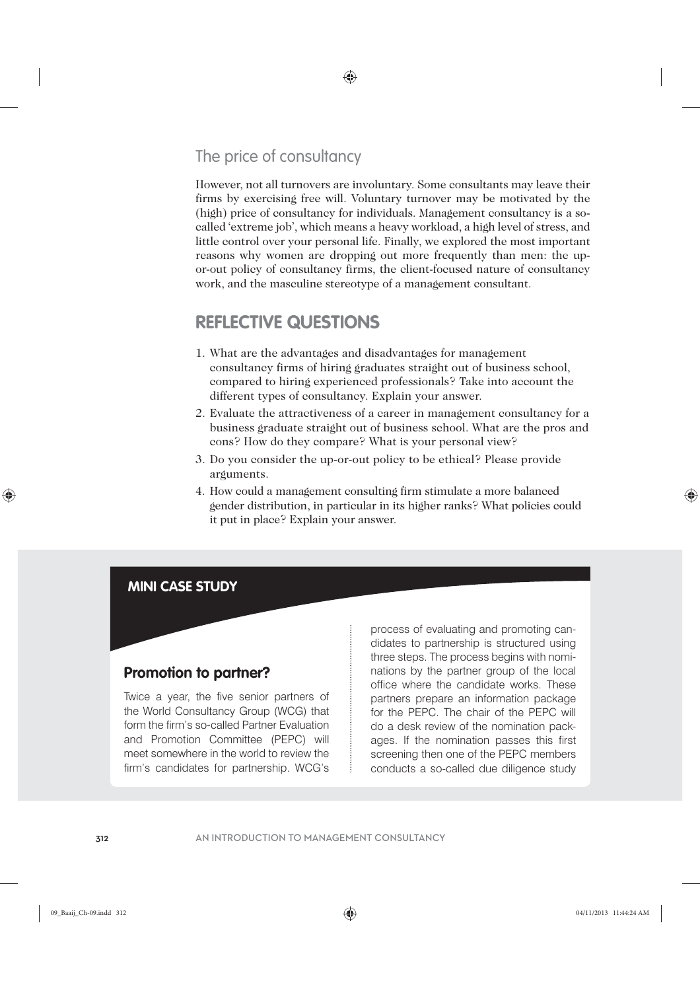# The price of consultancy

However, not all turnovers are involuntary. Some consultants may leave their firms by exercising free will. Voluntary turnover may be motivated by the (high) price of consultancy for individuals. Management consultancy is a socalled 'extreme job', which means a heavy workload, a high level of stress, and little control over your personal life. Finally, we explored the most important reasons why women are dropping out more frequently than men: the upor-out policy of consultancy firms, the client-focused nature of consultancy work, and the masculine stereotype of a management consultant.

◈

# **REFLECTIVE QUESTIONS**

- 1. What are the advantages and disadvantages for management consultancy firms of hiring graduates straight out of business school, compared to hiring experienced professionals? Take into account the different types of consultancy. Explain your answer.
- 2. Evaluate the attractiveness of a career in management consultancy for a business graduate straight out of business school. What are the pros and cons? How do they compare? What is your personal view?
- 3. Do you consider the up-or-out policy to be ethical? Please provide arguments.
- 4. How could a management consulting firm stimulate a more balanced gender distribution, in particular in its higher ranks? What policies could it put in place? Explain your answer.

#### **MINI CASE STUDY**

#### **Promotion to partner?**

Twice a year, the five senior partners of the World Consultancy Group (WCG) that form the firm's so-called Partner Evaluation and Promotion Committee (PEPC) will meet somewhere in the world to review the firm's candidates for partnership. WCG's

process of evaluating and promoting candidates to partnership is structured using three steps. The process begins with nominations by the partner group of the local office where the candidate works. These partners prepare an information package for the PEPC. The chair of the PEPC will do a desk review of the nomination packages. If the nomination passes this first screening then one of the PEPC members conducts a so-called due diligence study

**312** AN INTRODUCTION TO MANAGEMENT CONSULTANCY

♠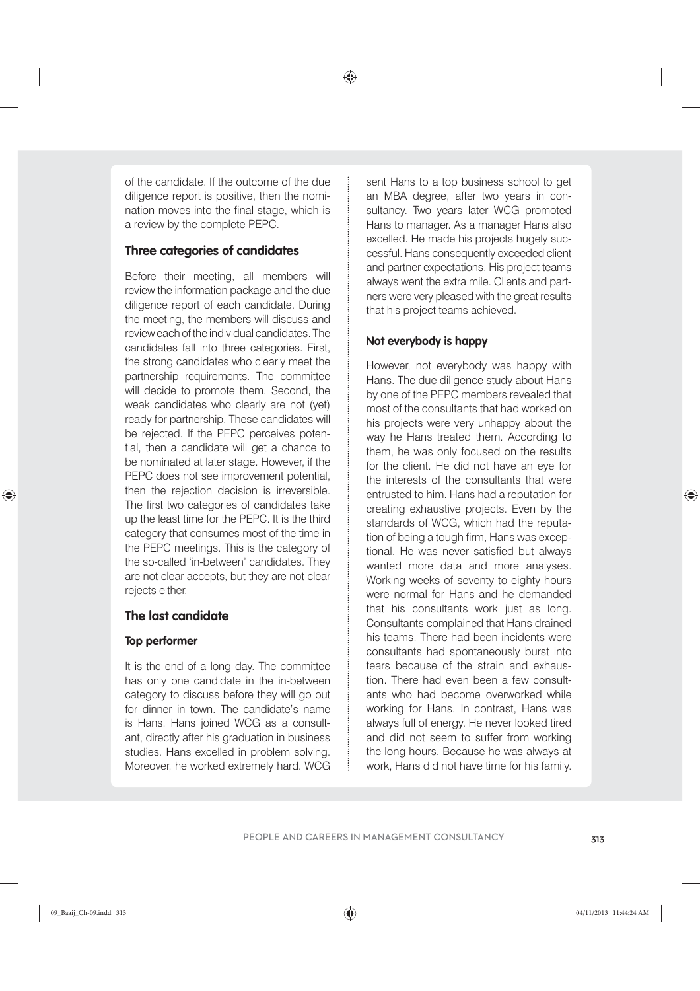of the candidate. If the outcome of the due diligence report is positive, then the nomination moves into the final stage, which is a review by the complete PEPC.

#### **Three categories of candidates**

Before their meeting, all members will review the information package and the due diligence report of each candidate. During the meeting, the members will discuss and review each of the individual candidates. The candidates fall into three categories. First, the strong candidates who clearly meet the partnership requirements. The committee will decide to promote them. Second, the weak candidates who clearly are not (yet) ready for partnership. These candidates will be rejected. If the PEPC perceives potential, then a candidate will get a chance to be nominated at later stage. However, if the PEPC does not see improvement potential, then the rejection decision is irreversible. The first two categories of candidates take up the least time for the PEPC. It is the third category that consumes most of the time in the PEPC meetings. This is the category of the so-called 'in-between' candidates. They are not clear accepts, but they are not clear rejects either.

#### **The last candidate**

#### **Top performer**

It is the end of a long day. The committee has only one candidate in the in-between category to discuss before they will go out for dinner in town. The candidate's name is Hans. Hans joined WCG as a consultant, directly after his graduation in business studies. Hans excelled in problem solving. Moreover, he worked extremely hard. WCG

sent Hans to a top business school to get an MBA degree, after two years in consultancy. Two years later WCG promoted Hans to manager. As a manager Hans also excelled. He made his projects hugely successful. Hans consequently exceeded client and partner expectations. His project teams always went the extra mile. Clients and partners were very pleased with the great results that his project teams achieved.

#### **Not everybody is happy**

◈

However, not everybody was happy with Hans. The due diligence study about Hans by one of the PEPC members revealed that most of the consultants that had worked on his projects were very unhappy about the way he Hans treated them. According to them, he was only focused on the results for the client. He did not have an eye for the interests of the consultants that were entrusted to him. Hans had a reputation for creating exhaustive projects. Even by the standards of WCG, which had the reputation of being a tough firm, Hans was exceptional. He was never satisfied but always wanted more data and more analyses. Working weeks of seventy to eighty hours were normal for Hans and he demanded that his consultants work just as long. Consultants complained that Hans drained his teams. There had been incidents were consultants had spontaneously burst into tears because of the strain and exhaustion. There had even been a few consultants who had become overworked while working for Hans. In contrast, Hans was always full of energy. He never looked tired and did not seem to suffer from working the long hours. Because he was always at work, Hans did not have time for his family.

#### PEOPLE AND CAREERS IN MANAGEMENT CONSULTANCY 313

♠

⊕